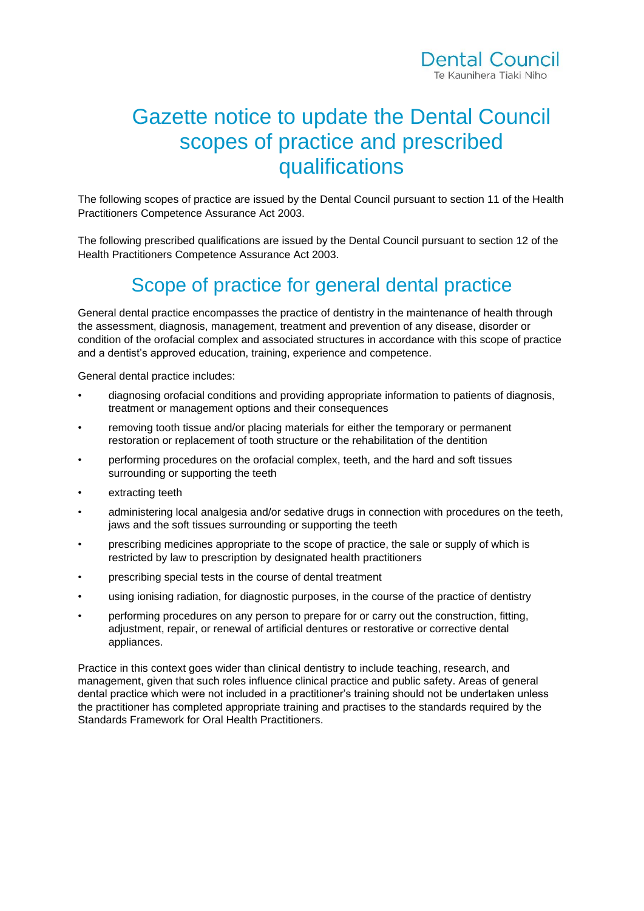# Gazette notice to update the Dental Council scopes of practice and prescribed qualifications

The following scopes of practice are issued by the Dental Council pursuant to section 11 of the Health Practitioners Competence Assurance Act 2003.

The following prescribed qualifications are issued by the Dental Council pursuant to section 12 of the Health Practitioners Competence Assurance Act 2003.

# Scope of practice for general dental practice

General dental practice encompasses the practice of dentistry in the maintenance of health through the assessment, diagnosis, management, treatment and prevention of any disease, disorder or condition of the orofacial complex and associated structures in accordance with this scope of practice and a dentist's approved education, training, experience and competence.

General dental practice includes:

- diagnosing orofacial conditions and providing appropriate information to patients of diagnosis, treatment or management options and their consequences
- removing tooth tissue and/or placing materials for either the temporary or permanent restoration or replacement of tooth structure or the rehabilitation of the dentition
- performing procedures on the orofacial complex, teeth, and the hard and soft tissues surrounding or supporting the teeth
- extracting teeth
- administering local analgesia and/or sedative drugs in connection with procedures on the teeth, jaws and the soft tissues surrounding or supporting the teeth
- prescribing medicines appropriate to the scope of practice, the sale or supply of which is restricted by law to prescription by designated health practitioners
- prescribing special tests in the course of dental treatment
- using ionising radiation, for diagnostic purposes, in the course of the practice of dentistry
- performing procedures on any person to prepare for or carry out the construction, fitting, adjustment, repair, or renewal of artificial dentures or restorative or corrective dental appliances.

Practice in this context goes wider than clinical dentistry to include teaching, research, and management, given that such roles influence clinical practice and public safety. Areas of general dental practice which were not included in a practitioner's training should not be undertaken unless the practitioner has completed appropriate training and practises to the standards required by the Standards Framework for Oral Health Practitioners.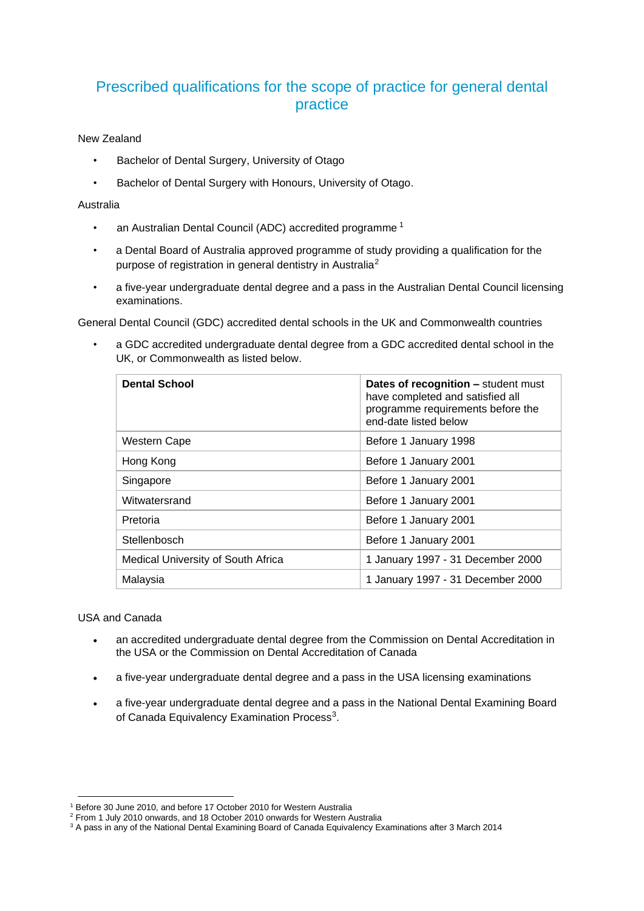## Prescribed qualifications for the scope of practice for general dental practice

### New Zealand

- Bachelor of Dental Surgery, University of Otago
- Bachelor of Dental Surgery with Honours, University of Otago.

#### Australia

- an Australian Dental Council (ADC) accredited programme<sup>1</sup>
- a Dental Board of Australia approved programme of study providing a qualification for the purpose of registration in general dentistry in Australia<sup>2</sup>
- a five-year undergraduate dental degree and a pass in the Australian Dental Council licensing examinations.

General Dental Council (GDC) accredited dental schools in the UK and Commonwealth countries

• a GDC accredited undergraduate dental degree from a GDC accredited dental school in the UK, or Commonwealth as listed below.

| <b>Dental School</b>               | Dates of recognition - student must<br>have completed and satisfied all<br>programme requirements before the<br>end-date listed below |
|------------------------------------|---------------------------------------------------------------------------------------------------------------------------------------|
| Western Cape                       | Before 1 January 1998                                                                                                                 |
| Hong Kong                          | Before 1 January 2001                                                                                                                 |
| Singapore                          | Before 1 January 2001                                                                                                                 |
| Witwatersrand                      | Before 1 January 2001                                                                                                                 |
| Pretoria                           | Before 1 January 2001                                                                                                                 |
| Stellenbosch                       | Before 1 January 2001                                                                                                                 |
| Medical University of South Africa | 1 January 1997 - 31 December 2000                                                                                                     |
| Malaysia                           | 1 January 1997 - 31 December 2000                                                                                                     |

USA and Canada

- an accredited undergraduate dental degree from the Commission on Dental Accreditation in the USA or the Commission on Dental Accreditation of Canada
- a five-year undergraduate dental degree and a pass in the USA licensing examinations
- a five-year undergraduate dental degree and a pass in the National Dental Examining Board of Canada Equivalency Examination Process<sup>3</sup>.

<sup>1</sup> Before 30 June 2010, and before 17 October 2010 for Western Australia

<sup>2</sup> From 1 July 2010 onwards, and 18 October 2010 onwards for Western Australia

<sup>&</sup>lt;sup>3</sup> A pass in any of the National Dental Examining Board of Canada Equivalency Examinations after 3 March 2014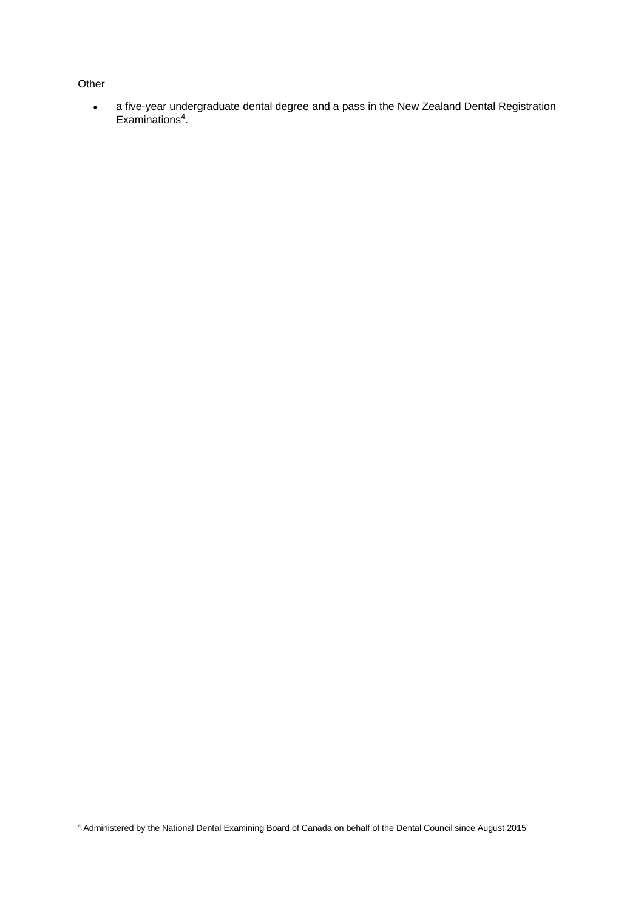### **Other**

• a five-year undergraduate dental degree and a pass in the New Zealand Dental Registration Examinations<sup>4</sup>.

<sup>4</sup> Administered by the National Dental Examining Board of Canada on behalf of the Dental Council since August 2015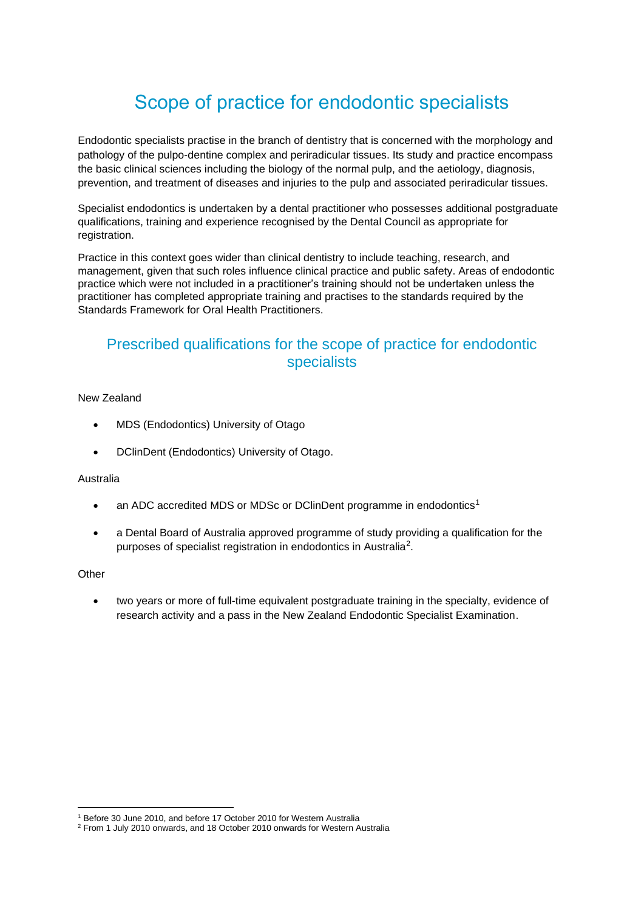# Scope of practice for endodontic specialists

Endodontic specialists practise in the branch of dentistry that is concerned with the morphology and pathology of the pulpo-dentine complex and periradicular tissues. Its study and practice encompass the basic clinical sciences including the biology of the normal pulp, and the aetiology, diagnosis, prevention, and treatment of diseases and injuries to the pulp and associated periradicular tissues.

Specialist endodontics is undertaken by a dental practitioner who possesses [additional postgraduate](https://www.dcnz.org.nz/i-want-to-practise-in-new-zealand/dentists-and-dental-specialists/prescribed-qualifications-for-dental-specialists/)  [qualifications, training and experience](https://www.dcnz.org.nz/i-want-to-practise-in-new-zealand/dentists-and-dental-specialists/prescribed-qualifications-for-dental-specialists/) recognised by the Dental Council as appropriate for registration.

Practice in this context goes wider than clinical dentistry to include teaching, research, and management, given that such roles influence clinical practice and public safety. Areas of endodontic practice which were not included in a practitioner's training should not be undertaken unless the practitioner has completed appropriate training and practises to the standards required by the Standards Framework for Oral Health Practitioners.

### Prescribed qualifications for the scope of practice for endodontic specialists

### New Zealand

- MDS (Endodontics) University of Otago
- DClinDent (Endodontics) University of Otago.

#### Australia

- an ADC accredited MDS or MDSc or DClinDent programme in endodontics<sup>1</sup>
- a Dental Board of Australia approved programme of study providing a qualification for the purposes of specialist registration in endodontics in Australia<sup>2</sup>.

#### **Other**

• two years or more of full-time equivalent postgraduate training in the specialty, evidence of research activity and a pass in the New Zealand Endodontic Specialist Examination.

<sup>1</sup> Before 30 June 2010, and before 17 October 2010 for Western Australia

<sup>2</sup> From 1 July 2010 onwards, and 18 October 2010 onwards for Western Australia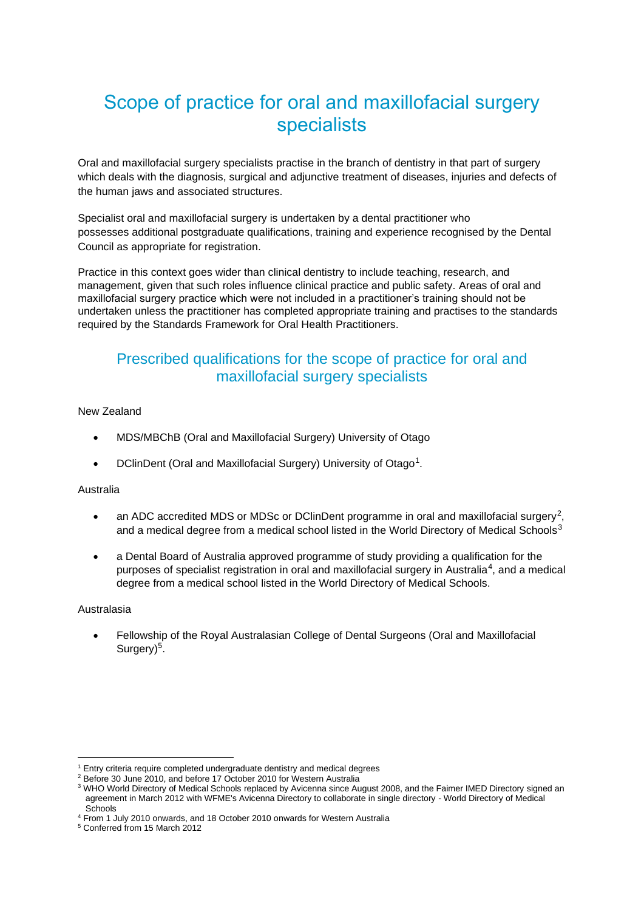# Scope of practice for oral and maxillofacial surgery specialists

Oral and maxillofacial surgery specialists practise in the branch of dentistry in that part of surgery which deals with the diagnosis, surgical and adjunctive treatment of diseases, injuries and defects of the human jaws and associated structures.

Specialist oral and maxillofacial surgery is undertaken by a dental practitioner who possesses [additional postgraduate qualifications, training and experience](https://www.dcnz.org.nz/i-want-to-practise-in-new-zealand/dentists-and-dental-specialists/prescribed-qualifications-for-dental-specialists/) recognised by the Dental Council as appropriate for registration.

Practice in this context goes wider than clinical dentistry to include teaching, research, and management, given that such roles influence clinical practice and public safety. Areas of oral and maxillofacial surgery practice which were not included in a practitioner's training should not be undertaken unless the practitioner has completed appropriate training and practises to the standards required by the Standards Framework for Oral Health Practitioners.

## Prescribed qualifications for the scope of practice for oral and maxillofacial surgery specialists

New Zealand

- MDS/MBChB (Oral and Maxillofacial Surgery) University of Otago
- DClinDent (Oral and Maxillofacial Surgery) University of Otago<sup>1</sup>.

### Australia

- an ADC accredited MDS or MDSc or DClinDent programme in oral and maxillofacial surgery<sup>2</sup>, and a medical degree from a medical school listed in the World Directory of Medical Schools<sup>3</sup>
- a Dental Board of Australia approved programme of study providing a qualification for the purposes of specialist registration in oral and maxillofacial surgery in Australia<sup>4</sup>, and a medical degree from a medical school listed in the World Directory of Medical Schools.

#### Australasia

• Fellowship of the Royal Australasian College of Dental Surgeons (Oral and Maxillofacial Surgery)<sup>5</sup>.

<sup>&</sup>lt;sup>1</sup> Entry criteria require completed undergraduate dentistry and medical degrees

<sup>&</sup>lt;sup>2</sup> Before 30 June 2010, and before 17 October 2010 for Western Australia

<sup>&</sup>lt;sup>3</sup> WHO World Directory of Medical Schools replaced by Avicenna since August 2008, and the Faimer IMED Directory signed an agreement in March 2012 with WFME's Avicenna Directory to collaborate in single directory - World Directory of Medical **Schools** 

<sup>4</sup> From 1 July 2010 onwards, and 18 October 2010 onwards for Western Australia

<sup>5</sup> Conferred from 15 March 2012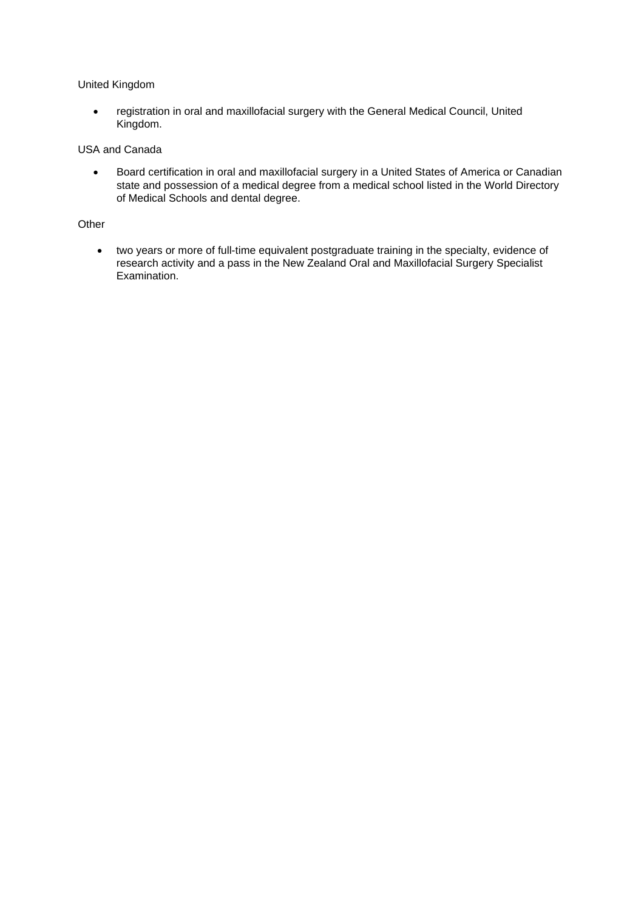#### United Kingdom

• registration in oral and maxillofacial surgery with the General Medical Council, United Kingdom.

### USA and Canada

• Board certification in oral and maxillofacial surgery in a United States of America or Canadian state and possession of a medical degree from a medical school listed in the World Directory of Medical Schools and dental degree.

### **Other**

• two years or more of full-time equivalent postgraduate training in the specialty, evidence of research activity and a pass in the New Zealand Oral and Maxillofacial Surgery Specialist Examination.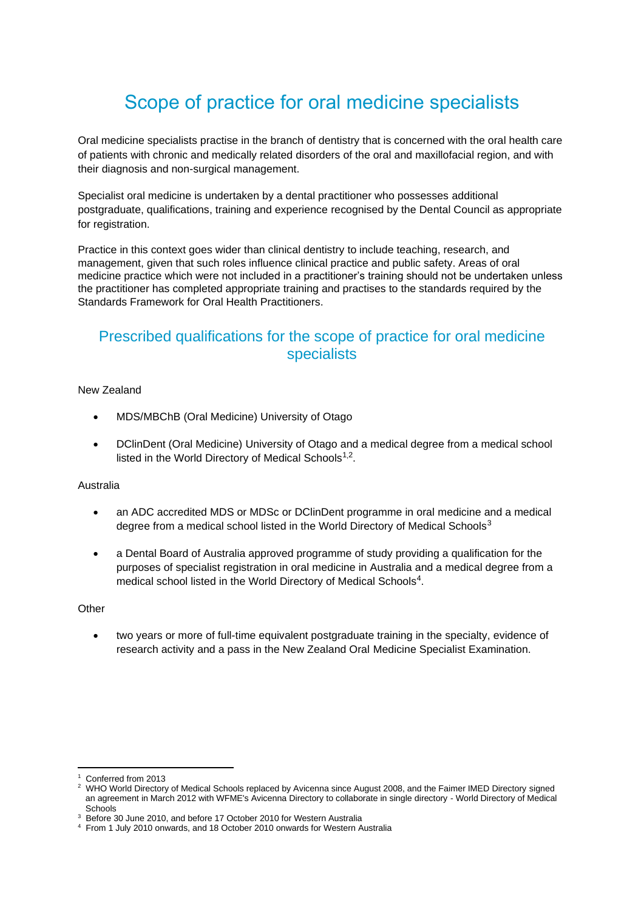# Scope of practice for oral medicine specialists

Oral medicine specialists practise in the branch of dentistry that is concerned with the oral health care of patients with chronic and medically related disorders of the oral and maxillofacial region, and with their diagnosis and non-surgical management.

Specialist oral medicine is undertaken by a dental practitioner who possesses [additional](https://www.dcnz.org.nz/i-want-to-practise-in-new-zealand/dentists-and-dental-specialists/prescribed-qualifications-for-dental-specialists/)  [postgraduate, qualifications, training and experience](https://www.dcnz.org.nz/i-want-to-practise-in-new-zealand/dentists-and-dental-specialists/prescribed-qualifications-for-dental-specialists/) recognised by the Dental Council as appropriate for registration.

Practice in this context goes wider than clinical dentistry to include teaching, research, and management, given that such roles influence clinical practice and public safety. Areas of oral medicine practice which were not included in a practitioner's training should not be undertaken unless the practitioner has completed appropriate training and practises to the standards required by the Standards Framework for Oral Health Practitioners.

## Prescribed qualifications for the scope of practice for oral medicine specialists

### New Zealand

- MDS/MBChB (Oral Medicine) University of Otago
- DClinDent (Oral Medicine) University of Otago and a medical degree from a medical school listed in the World Directory of Medical Schools<sup>1,2</sup>.

#### Australia

- an ADC accredited MDS or MDSc or DClinDent programme in oral medicine and a medical degree from a medical school listed in the World Directory of Medical Schools<sup>3</sup>
- a Dental Board of Australia approved programme of study providing a qualification for the purposes of specialist registration in oral medicine in Australia and a medical degree from a medical school listed in the World Directory of Medical Schools<sup>4</sup>.

### **Other**

• two years or more of full-time equivalent postgraduate training in the specialty, evidence of research activity and a pass in the New Zealand Oral Medicine Specialist Examination.

Conferred from 2013

<sup>&</sup>lt;sup>2</sup> WHO World Directory of Medical Schools replaced by Avicenna since August 2008, and the Faimer IMED Directory signed an agreement in March 2012 with WFME's Avicenna Directory to collaborate in single directory - World Directory of Medical **Schools** 

<sup>3</sup> Before 30 June 2010, and before 17 October 2010 for Western Australia

<sup>4</sup> From 1 July 2010 onwards, and 18 October 2010 onwards for Western Australia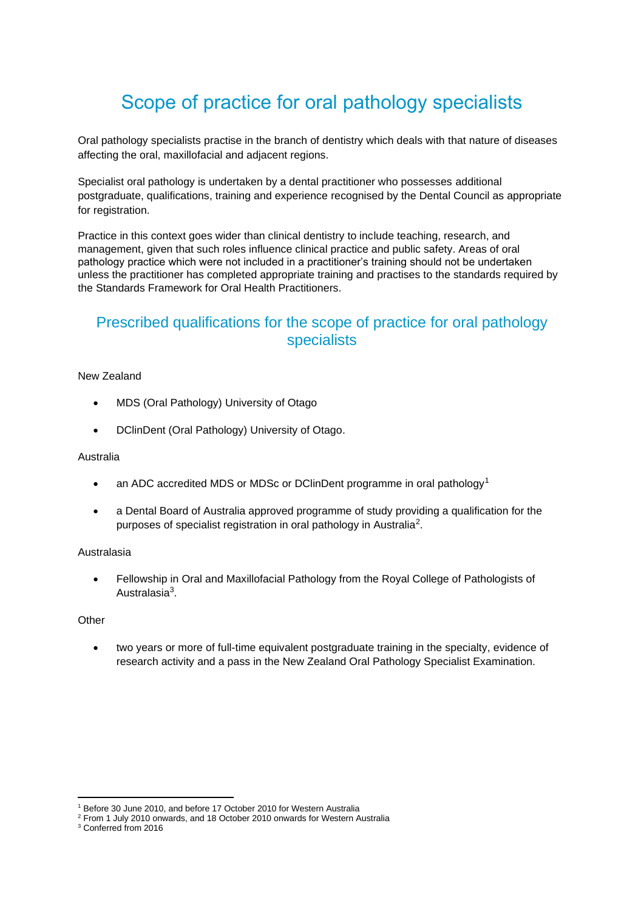# Scope of practice for oral pathology specialists

Oral pathology specialists practise in the branch of dentistry which deals with that nature of diseases affecting the oral, maxillofacial and adjacent regions.

Specialist oral pathology is undertaken by a dental practitioner who possesses [additional](https://www.dcnz.org.nz/i-want-to-practise-in-new-zealand/dentists-and-dental-specialists/prescribed-qualifications-for-dental-specialists/)  [postgraduate, qualifications, training and experience](https://www.dcnz.org.nz/i-want-to-practise-in-new-zealand/dentists-and-dental-specialists/prescribed-qualifications-for-dental-specialists/) recognised by the Dental Council as appropriate for registration.

Practice in this context goes wider than clinical dentistry to include teaching, research, and management, given that such roles influence clinical practice and public safety. Areas of oral pathology practice which were not included in a practitioner's training should not be undertaken unless the practitioner has completed appropriate training and practises to the standards required by the Standards Framework for Oral Health Practitioners.

## Prescribed qualifications for the scope of practice for oral pathology specialists

### New Zealand

- MDS (Oral Pathology) University of Otago
- DClinDent (Oral Pathology) University of Otago.

### Australia

- an ADC accredited MDS or MDSc or DClinDent programme in oral pathology<sup>1</sup>
- a Dental Board of Australia approved programme of study providing a qualification for the purposes of specialist registration in oral pathology in Australia<sup>2</sup>.

### Australasia

• Fellowship in Oral and Maxillofacial Pathology from the Royal College of Pathologists of Australasia<sup>3</sup>.

### **Other**

two years or more of full-time equivalent postgraduate training in the specialty, evidence of research activity and a pass in the New Zealand Oral Pathology Specialist Examination.

<sup>1</sup> Before 30 June 2010, and before 17 October 2010 for Western Australia

<sup>2</sup> From 1 July 2010 onwards, and 18 October 2010 onwards for Western Australia

<sup>3</sup> Conferred from 2016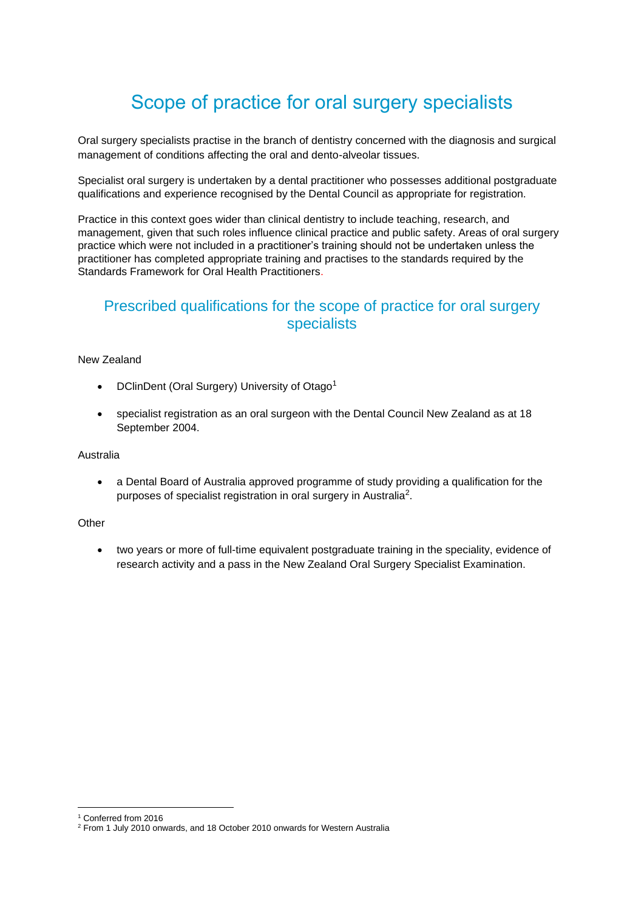# Scope of practice for oral surgery specialists

Oral surgery specialists practise in the branch of dentistry concerned with the diagnosis and surgical management of conditions affecting the oral and dento-alveolar tissues.

Specialist oral surgery is undertaken by a dental practitioner who possesses [additional postgraduate](https://dcnz.org.nz/i-want-to-practise-in-new-zealand/dentists-and-dental-specialists/prescribed-qualifications-for-dental-specialists/)  [qualifications and experience](https://dcnz.org.nz/i-want-to-practise-in-new-zealand/dentists-and-dental-specialists/prescribed-qualifications-for-dental-specialists/) recognised by the Dental Council as appropriate for registration.

Practice in this context goes wider than clinical dentistry to include teaching, research, and management, given that such roles influence clinical practice and public safety. Areas of oral surgery practice which were not included in a practitioner's training should not be undertaken unless the practitioner has completed appropriate training and practises to the standards required by the Standards Framework for Oral Health Practitioners.

### Prescribed qualifications for the scope of practice for oral surgery specialists

#### New Zealand

- DClinDent (Oral Surgery) University of Otago<sup>1</sup>
- specialist registration as an oral surgeon with the Dental Council New Zealand as at 18 September 2004.

#### Australia

• a Dental Board of Australia approved programme of study providing a qualification for the purposes of specialist registration in oral surgery in Australia<sup>2</sup>.

#### **Other**

• two years or more of full-time equivalent postgraduate training in the speciality, evidence of research activity and a pass in the New Zealand Oral Surgery Specialist Examination.

<sup>1</sup> Conferred from 2016

<sup>2</sup> From 1 July 2010 onwards, and 18 October 2010 onwards for Western Australia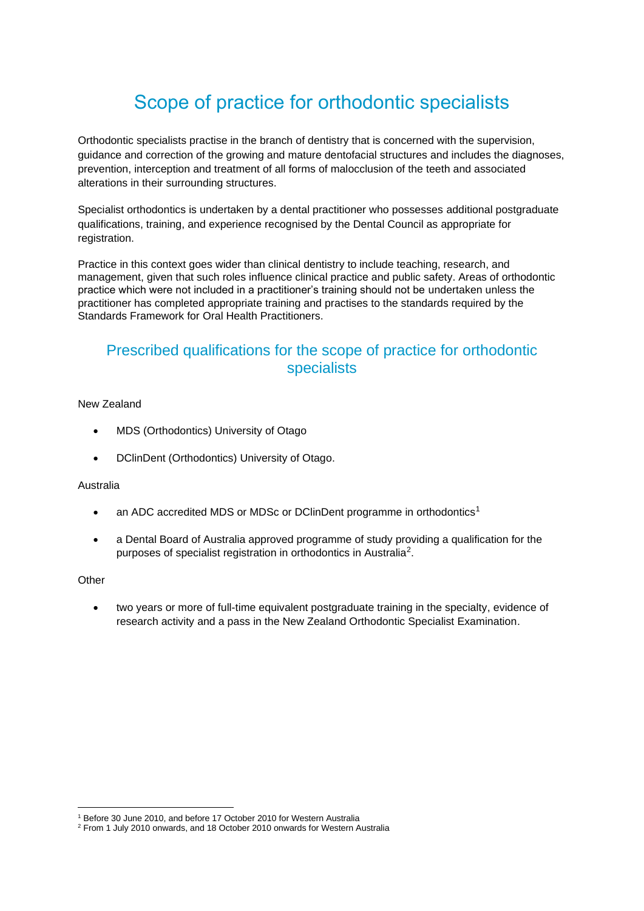# Scope of practice for orthodontic specialists

Orthodontic specialists practise in the branch of dentistry that is concerned with the supervision, guidance and correction of the growing and mature dentofacial structures and includes the diagnoses, prevention, interception and treatment of all forms of malocclusion of the teeth and associated alterations in their surrounding structures.

Specialist orthodontics is undertaken by a dental practitioner who possesses [additional postgraduate](https://www.dcnz.org.nz/i-want-to-practise-in-new-zealand/dentists-and-dental-specialists/prescribed-qualifications-for-dental-specialists/)  [qualifications, training, and experience](https://www.dcnz.org.nz/i-want-to-practise-in-new-zealand/dentists-and-dental-specialists/prescribed-qualifications-for-dental-specialists/) recognised by the Dental Council as appropriate for registration.

Practice in this context goes wider than clinical dentistry to include teaching, research, and management, given that such roles influence clinical practice and public safety. Areas of orthodontic practice which were not included in a practitioner's training should not be undertaken unless the practitioner has completed appropriate training and practises to the standards required by the Standards Framework for Oral Health Practitioners.

## Prescribed qualifications for the scope of practice for orthodontic specialists

### New Zealand

- MDS (Orthodontics) University of Otago
- DClinDent (Orthodontics) University of Otago.

### Australia

- an ADC accredited MDS or MDSc or DClinDent programme in orthodontics<sup>1</sup>
- a Dental Board of Australia approved programme of study providing a qualification for the purposes of specialist registration in orthodontics in Australia<sup>2</sup>.

### **Other**

• two years or more of full-time equivalent postgraduate training in the specialty, evidence of research activity and a pass in the New Zealand Orthodontic Specialist Examination.

<sup>1</sup> Before 30 June 2010, and before 17 October 2010 for Western Australia

<sup>2</sup> From 1 July 2010 onwards, and 18 October 2010 onwards for Western Australia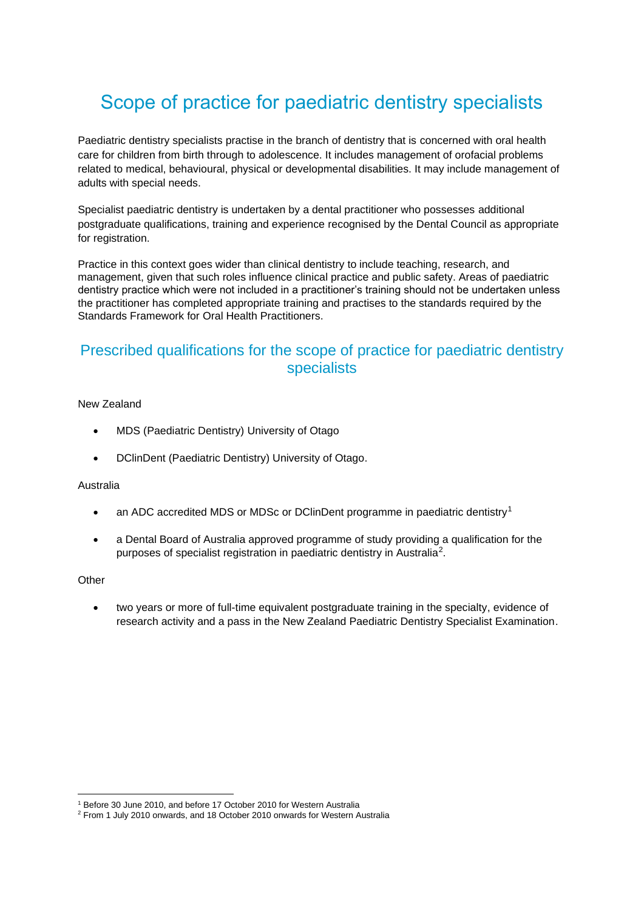# Scope of practice for paediatric dentistry specialists

Paediatric dentistry specialists practise in the branch of dentistry that is concerned with oral health care for children from birth through to adolescence. It includes management of orofacial problems related to medical, behavioural, physical or developmental disabilities. It may include management of adults with special needs.

Specialist paediatric dentistry is undertaken by a dental practitioner who possesses [additional](https://www.dcnz.org.nz/i-want-to-practise-in-new-zealand/dentists-and-dental-specialists/prescribed-qualifications-for-dental-specialists/)  [postgraduate qualifications, training and experience](https://www.dcnz.org.nz/i-want-to-practise-in-new-zealand/dentists-and-dental-specialists/prescribed-qualifications-for-dental-specialists/) recognised by the Dental Council as appropriate for registration.

Practice in this context goes wider than clinical dentistry to include teaching, research, and management, given that such roles influence clinical practice and public safety. Areas of paediatric dentistry practice which were not included in a practitioner's training should not be undertaken unless the practitioner has completed appropriate training and practises to the standards required by the Standards Framework for Oral Health Practitioners.

## Prescribed qualifications for the scope of practice for paediatric dentistry specialists

#### New Zealand

- MDS (Paediatric Dentistry) University of Otago
- DClinDent (Paediatric Dentistry) University of Otago.

### Australia

- an ADC accredited MDS or MDSc or DClinDent programme in paediatric dentistry<sup>1</sup>
- a Dental Board of Australia approved programme of study providing a qualification for the purposes of specialist registration in paediatric dentistry in Australia<sup>2</sup>.

### **Other**

• two years or more of full-time equivalent postgraduate training in the specialty, evidence of research activity and a pass in the New Zealand Paediatric Dentistry Specialist Examination.

<sup>1</sup> Before 30 June 2010, and before 17 October 2010 for Western Australia

<sup>2</sup> From 1 July 2010 onwards, and 18 October 2010 onwards for Western Australia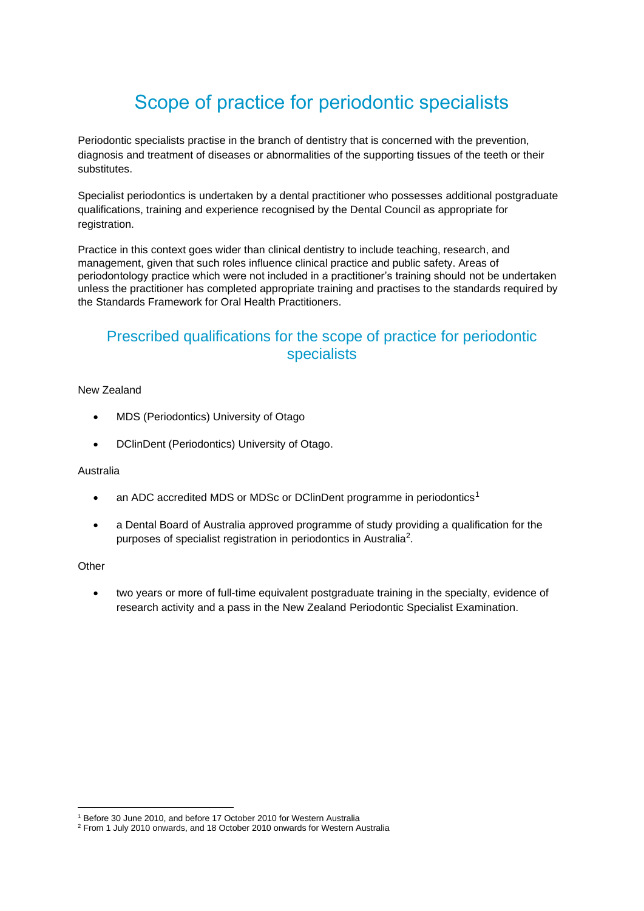# Scope of practice for periodontic specialists

Periodontic specialists practise in the branch of dentistry that is concerned with the prevention, diagnosis and treatment of diseases or abnormalities of the supporting tissues of the teeth or their substitutes.

Specialist periodontics is undertaken by a dental practitioner who possesses [additional postgraduate](https://www.dcnz.org.nz/i-want-to-practise-in-new-zealand/dentists-and-dental-specialists/prescribed-qualifications-for-dental-specialists/)  [qualifications, training and experience](https://www.dcnz.org.nz/i-want-to-practise-in-new-zealand/dentists-and-dental-specialists/prescribed-qualifications-for-dental-specialists/) recognised by the Dental Council as appropriate for registration.

Practice in this context goes wider than clinical dentistry to include teaching, research, and management, given that such roles influence clinical practice and public safety. Areas of periodontology practice which were not included in a practitioner's training should not be undertaken unless the practitioner has completed appropriate training and practises to the standards required by the Standards Framework for Oral Health Practitioners.

## Prescribed qualifications for the scope of practice for periodontic specialists

### New Zealand

- MDS (Periodontics) University of Otago
- DClinDent (Periodontics) University of Otago.

### Australia

- an ADC accredited MDS or MDSc or DClinDent programme in periodontics<sup>1</sup>
- a Dental Board of Australia approved programme of study providing a qualification for the purposes of specialist registration in periodontics in Australia<sup>2</sup>.

### **Other**

two years or more of full-time equivalent postgraduate training in the specialty, evidence of research activity and a pass in the New Zealand Periodontic Specialist Examination.

<sup>1</sup> Before 30 June 2010, and before 17 October 2010 for Western Australia

<sup>2</sup> From 1 July 2010 onwards, and 18 October 2010 onwards for Western Australia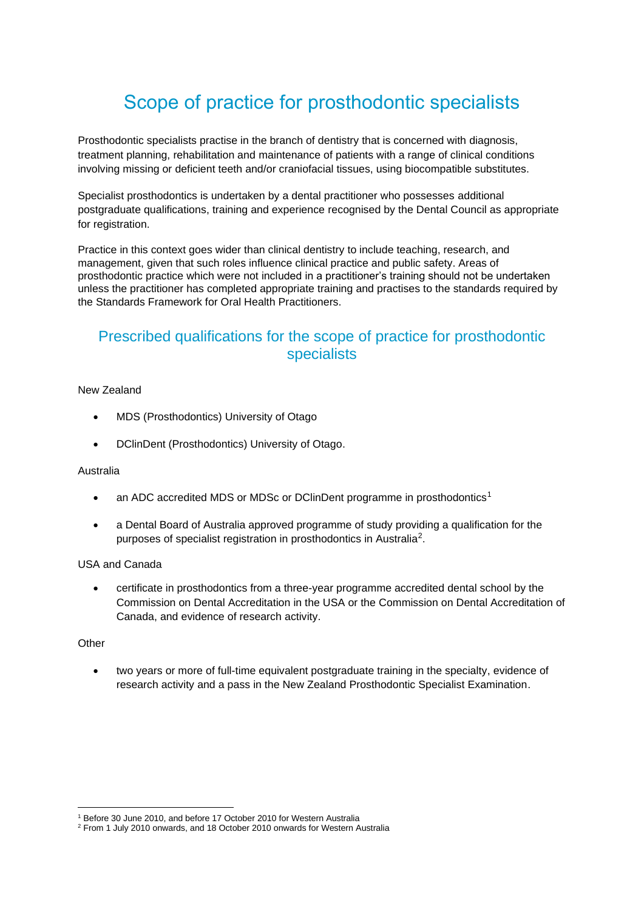## Scope of practice for prosthodontic specialists

Prosthodontic specialists practise in the branch of dentistry that is concerned with diagnosis, treatment planning, rehabilitation and maintenance of patients with a range of clinical conditions involving missing or deficient teeth and/or craniofacial tissues, using biocompatible substitutes.

Specialist prosthodontics is undertaken by a dental practitioner who possesses [additional](https://www.dcnz.org.nz/i-want-to-practise-in-new-zealand/dentists-and-dental-specialists/prescribed-qualifications-for-dental-specialists/)  [postgraduate qualifications, training and experience](https://www.dcnz.org.nz/i-want-to-practise-in-new-zealand/dentists-and-dental-specialists/prescribed-qualifications-for-dental-specialists/) recognised by the Dental Council as appropriate for registration.

Practice in this context goes wider than clinical dentistry to include teaching, research, and management, given that such roles influence clinical practice and public safety. Areas of prosthodontic practice which were not included in a practitioner's training should not be undertaken unless the practitioner has completed appropriate training and practises to the standards required by the Standards Framework for Oral Health Practitioners.

## Prescribed qualifications for the scope of practice for prosthodontic specialists

### New Zealand

- MDS (Prosthodontics) University of Otago
- DClinDent (Prosthodontics) University of Otago.

#### Australia

- an ADC accredited MDS or MDSc or DClinDent programme in prosthodontics<sup>1</sup>
- a Dental Board of Australia approved programme of study providing a qualification for the purposes of specialist registration in prosthodontics in Australia<sup>2</sup>.

### USA and Canada

• certificate in prosthodontics from a three-year programme accredited dental school by the Commission on Dental Accreditation in the USA or the Commission on Dental Accreditation of Canada, and evidence of research activity.

### **Other**

two years or more of full-time equivalent postgraduate training in the specialty, evidence of research activity and a pass in the New Zealand Prosthodontic Specialist Examination.

<sup>1</sup> Before 30 June 2010, and before 17 October 2010 for Western Australia

<sup>2</sup> From 1 July 2010 onwards, and 18 October 2010 onwards for Western Australia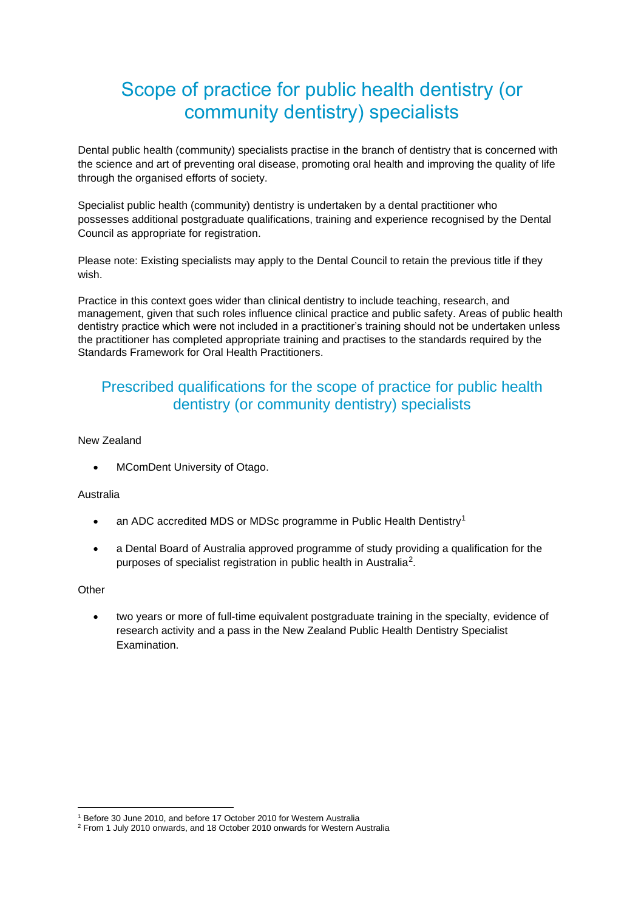## Scope of practice for public health dentistry (or community dentistry) specialists

Dental public health (community) specialists practise in the branch of dentistry that is concerned with the science and art of preventing oral disease, promoting oral health and improving the quality of life through the organised efforts of society.

Specialist public health (community) dentistry is undertaken by a dental practitioner who possesses [additional postgraduate qualifications, training and experience](https://www.dcnz.org.nz/i-want-to-practise-in-new-zealand/dentists-and-dental-specialists/prescribed-qualifications-for-dental-specialists/) recognised by the Dental Council as appropriate for registration.

Please note: Existing specialists may apply to the Dental Council to retain the previous title if they wish.

Practice in this context goes wider than clinical dentistry to include teaching, research, and management, given that such roles influence clinical practice and public safety. Areas of public health dentistry practice which were not included in a practitioner's training should not be undertaken unless the practitioner has completed appropriate training and practises to the standards required by the Standards Framework for Oral Health Practitioners.

## Prescribed qualifications for the scope of practice for public health dentistry (or community dentistry) specialists

#### New Zealand

MComDent University of Otago.

### Australia

- an ADC accredited MDS or MDSc programme in Public Health Dentistry<sup>1</sup>
- a Dental Board of Australia approved programme of study providing a qualification for the purposes of specialist registration in public health in Australia<sup>2</sup>.

### **Other**

• two years or more of full-time equivalent postgraduate training in the specialty, evidence of research activity and a pass in the New Zealand Public Health Dentistry Specialist **Examination** 

<sup>1</sup> Before 30 June 2010, and before 17 October 2010 for Western Australia

<sup>2</sup> From 1 July 2010 onwards, and 18 October 2010 onwards for Western Australia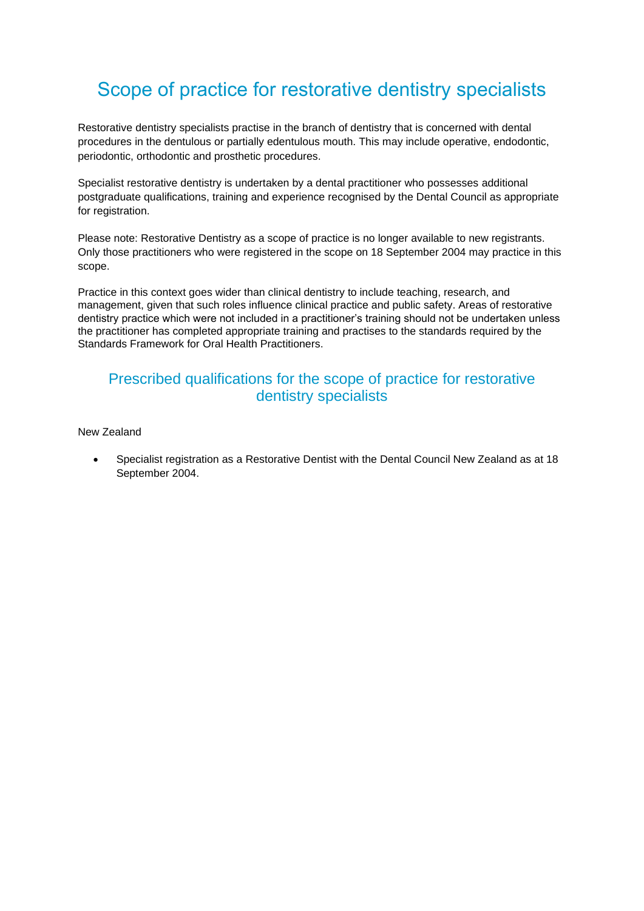# Scope of practice for restorative dentistry specialists

Restorative dentistry specialists practise in the branch of dentistry that is concerned with dental procedures in the dentulous or partially edentulous mouth. This may include operative, endodontic, periodontic, orthodontic and prosthetic procedures.

Specialist restorative dentistry is undertaken by a dental practitioner who possesses [additional](https://www.dcnz.org.nz/i-want-to-practise-in-new-zealand/dentists-and-dental-specialists/prescribed-qualifications-for-dental-specialists/)  [postgraduate qualifications, training and experience](https://www.dcnz.org.nz/i-want-to-practise-in-new-zealand/dentists-and-dental-specialists/prescribed-qualifications-for-dental-specialists/) recognised by the Dental Council as appropriate for registration.

Please note: Restorative Dentistry as a scope of practice is no longer available to new registrants. Only those practitioners who were registered in the scope on 18 September 2004 may practice in this scope.

Practice in this context goes wider than clinical dentistry to include teaching, research, and management, given that such roles influence clinical practice and public safety. Areas of restorative dentistry practice which were not included in a practitioner's training should not be undertaken unless the practitioner has completed appropriate training and practises to the standards required by the Standards Framework for Oral Health Practitioners.

### Prescribed qualifications for the scope of practice for restorative dentistry specialists

New Zealand

• Specialist registration as a Restorative Dentist with the Dental Council New Zealand as at 18 September 2004.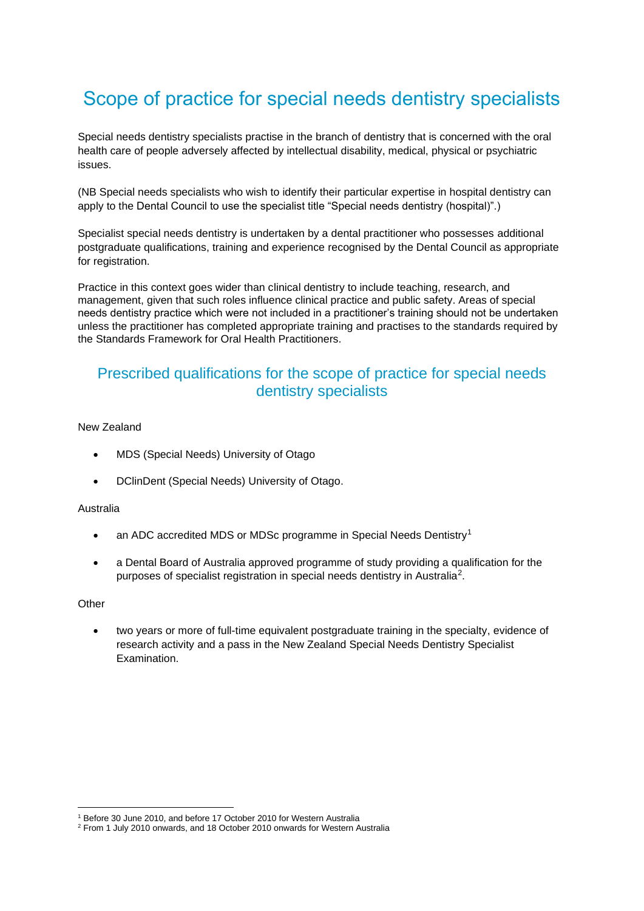# Scope of practice for special needs dentistry specialists

Special needs dentistry specialists practise in the branch of dentistry that is concerned with the oral health care of people adversely affected by intellectual disability, medical, physical or psychiatric issues.

(NB Special needs specialists who wish to identify their particular expertise in hospital dentistry can apply to the Dental Council to use the specialist title "Special needs dentistry (hospital)".)

Specialist special needs dentistry is undertaken by a dental practitioner who possesses [additional](https://www.dcnz.org.nz/i-want-to-practise-in-new-zealand/dentists-and-dental-specialists/prescribed-qualifications-for-dental-specialists/)  [postgraduate qualifications, training and experience](https://www.dcnz.org.nz/i-want-to-practise-in-new-zealand/dentists-and-dental-specialists/prescribed-qualifications-for-dental-specialists/) recognised by the Dental Council as appropriate for registration.

Practice in this context goes wider than clinical dentistry to include teaching, research, and management, given that such roles influence clinical practice and public safety. Areas of special needs dentistry practice which were not included in a practitioner's training should not be undertaken unless the practitioner has completed appropriate training and practises to the standards required by the Standards Framework for Oral Health Practitioners.

## Prescribed qualifications for the scope of practice for special needs dentistry specialists

#### New Zealand

- MDS (Special Needs) University of Otago
- DClinDent (Special Needs) University of Otago.

#### Australia

- an ADC accredited MDS or MDSc programme in Special Needs Dentistry<sup>1</sup>
- a Dental Board of Australia approved programme of study providing a qualification for the purposes of specialist registration in special needs dentistry in Australia<sup>2</sup>.

#### **Other**

• two years or more of full-time equivalent postgraduate training in the specialty, evidence of research activity and a pass in the New Zealand Special Needs Dentistry Specialist Examination.

<sup>1</sup> Before 30 June 2010, and before 17 October 2010 for Western Australia

<sup>2</sup> From 1 July 2010 onwards, and 18 October 2010 onwards for Western Australia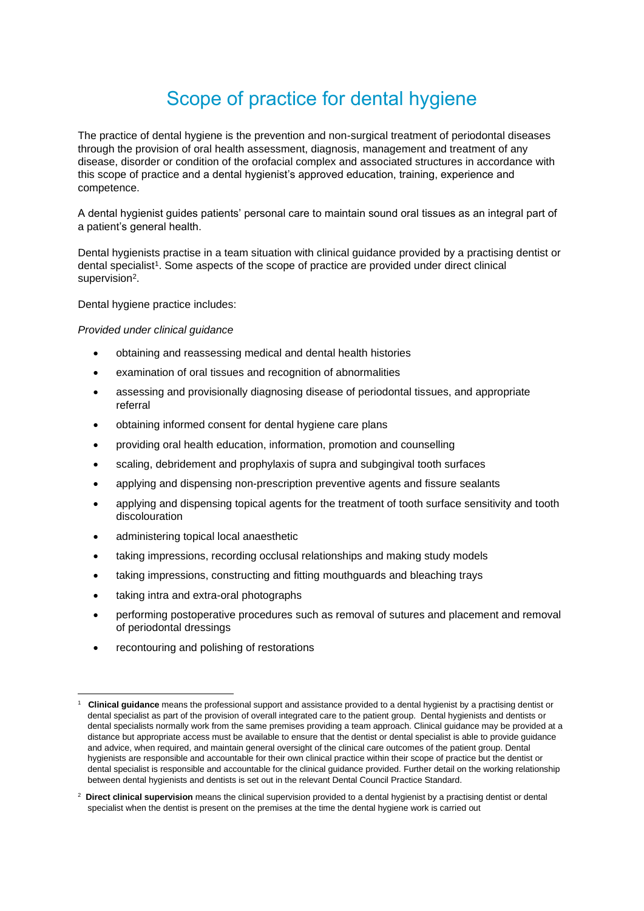# Scope of practice for dental hygiene

The practice of dental hygiene is the prevention and non-surgical treatment of periodontal diseases through the provision of oral health assessment, diagnosis, management and treatment of any disease, disorder or condition of the orofacial complex and associated structures in accordance with this scope of practice and a dental hygienist's approved education, training, experience and competence.

A dental hygienist guides patients' personal care to maintain sound oral tissues as an integral part of a patient's general health.

Dental hygienists practise in a team situation with clinical guidance provided by a practising dentist or dental specialist<sup>1</sup>. Some aspects of the scope of practice are provided under direct clinical supervision<sup>2</sup>.

Dental hygiene practice includes:

*Provided under clinical guidance*

- obtaining and reassessing medical and dental health histories
- examination of oral tissues and recognition of abnormalities
- assessing and provisionally diagnosing disease of periodontal tissues, and appropriate referral
- obtaining informed consent for dental hygiene care plans
- providing oral health education, information, promotion and counselling
- scaling, debridement and prophylaxis of supra and subgingival tooth surfaces
- applying and dispensing non-prescription preventive agents and fissure sealants
- applying and dispensing topical agents for the treatment of tooth surface sensitivity and tooth discolouration
- administering topical local anaesthetic
- taking impressions, recording occlusal relationships and making study models
- taking impressions, constructing and fitting mouthguards and bleaching trays
- taking intra and extra-oral photographs
- performing postoperative procedures such as removal of sutures and placement and removal of periodontal dressings
- recontouring and polishing of restorations

<sup>1</sup> **Clinical guidance** means the professional support and assistance provided to a dental hygienist by a practising dentist or dental specialist as part of the provision of overall integrated care to the patient group. Dental hygienists and dentists or dental specialists normally work from the same premises providing a team approach. Clinical guidance may be provided at a distance but appropriate access must be available to ensure that the dentist or dental specialist is able to provide guidance and advice, when required, and maintain general oversight of the clinical care outcomes of the patient group. Dental hygienists are responsible and accountable for their own clinical practice within their scope of practice but the dentist or dental specialist is responsible and accountable for the clinical guidance provided. Further detail on the working relationship between dental hygienists and dentists is set out in the relevant Dental Council Practice Standard.

<sup>2</sup> **Direct clinical supervision** means the clinical supervision provided to a dental hygienist by a practising dentist or dental specialist when the dentist is present on the premises at the time the dental hygiene work is carried out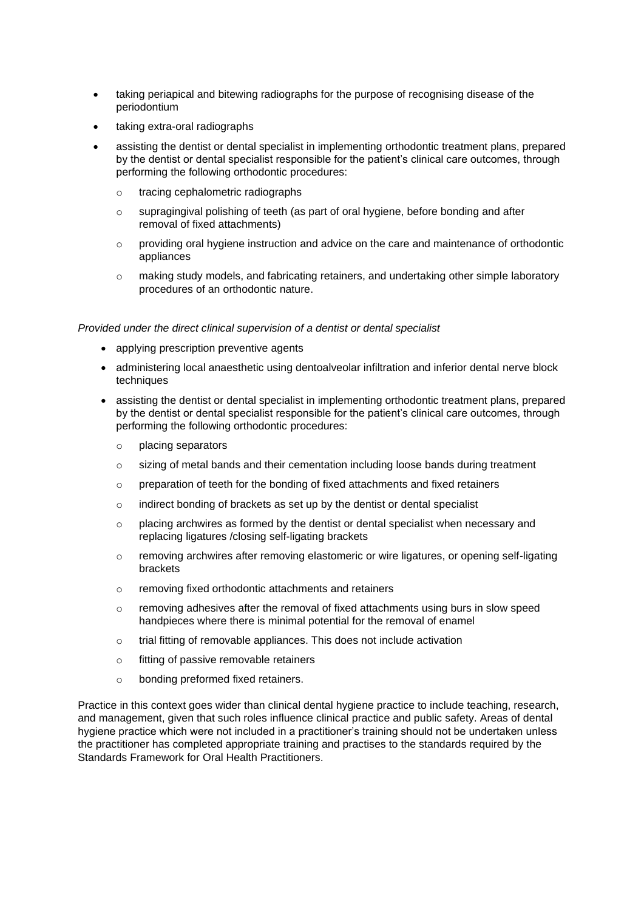- taking periapical and bitewing radiographs for the purpose of recognising disease of the periodontium
- taking extra-oral radiographs
- assisting the dentist or dental specialist in implementing orthodontic treatment plans, prepared by the dentist or dental specialist responsible for the patient's clinical care outcomes, through performing the following orthodontic procedures:
	- o tracing cephalometric radiographs
	- $\circ$  supragingival polishing of teeth (as part of oral hygiene, before bonding and after removal of fixed attachments)
	- o providing oral hygiene instruction and advice on the care and maintenance of orthodontic appliances
	- o making study models, and fabricating retainers, and undertaking other simple laboratory procedures of an orthodontic nature.

#### *Provided under the direct clinical supervision of a dentist or dental specialist*

- applying prescription preventive agents
- administering local anaesthetic using dentoalveolar infiltration and inferior dental nerve block techniques
- assisting the dentist or dental specialist in implementing orthodontic treatment plans, prepared by the dentist or dental specialist responsible for the patient's clinical care outcomes, through performing the following orthodontic procedures:
	- o placing separators
	- o sizing of metal bands and their cementation including loose bands during treatment
	- o preparation of teeth for the bonding of fixed attachments and fixed retainers
	- o indirect bonding of brackets as set up by the dentist or dental specialist
	- $\circ$  placing archwires as formed by the dentist or dental specialist when necessary and replacing ligatures /closing self-ligating brackets
	- o removing archwires after removing elastomeric or wire ligatures, or opening self-ligating brackets
	- o removing fixed orthodontic attachments and retainers
	- $\circ$  removing adhesives after the removal of fixed attachments using burs in slow speed handpieces where there is minimal potential for the removal of enamel
	- o trial fitting of removable appliances. This does not include activation
	- o fitting of passive removable retainers
	- o bonding preformed fixed retainers.

Practice in this context goes wider than clinical dental hygiene practice to include teaching, research, and management, given that such roles influence clinical practice and public safety. Areas of dental hygiene practice which were not included in a practitioner's training should not be undertaken unless the practitioner has completed appropriate training and practises to the standards required by the Standards Framework for Oral Health Practitioners.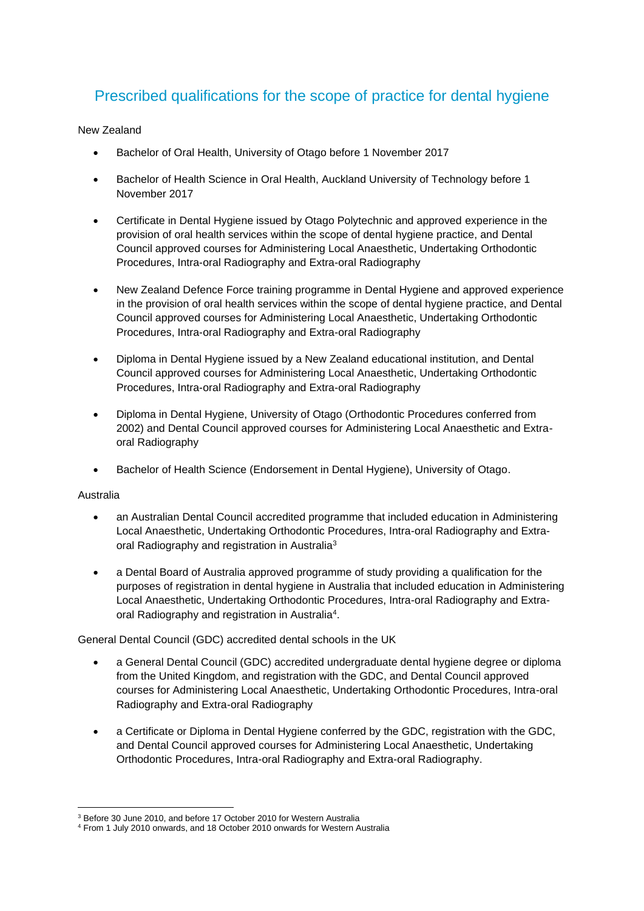## Prescribed qualifications for the scope of practice for dental hygiene

### New Zealand

- Bachelor of Oral Health, University of Otago before 1 November 2017
- Bachelor of Health Science in Oral Health, Auckland University of Technology before 1 November 2017
- Certificate in Dental Hygiene issued by Otago Polytechnic and approved experience in the provision of oral health services within the scope of dental hygiene practice, and Dental Council approved courses for Administering Local Anaesthetic, Undertaking Orthodontic Procedures, Intra-oral Radiography and Extra-oral Radiography
- New Zealand Defence Force training programme in Dental Hygiene and approved experience in the provision of oral health services within the scope of dental hygiene practice, and Dental Council approved courses for Administering Local Anaesthetic, Undertaking Orthodontic Procedures, Intra-oral Radiography and Extra-oral Radiography
- Diploma in Dental Hygiene issued by a New Zealand educational institution, and Dental Council approved courses for Administering Local Anaesthetic, Undertaking Orthodontic Procedures, Intra-oral Radiography and Extra-oral Radiography
- Diploma in Dental Hygiene, University of Otago (Orthodontic Procedures conferred from 2002) and Dental Council approved courses for Administering Local Anaesthetic and Extraoral Radiography
- Bachelor of Health Science (Endorsement in Dental Hygiene), University of Otago.

### Australia

- an Australian Dental Council accredited programme that included education in Administering Local Anaesthetic, Undertaking Orthodontic Procedures, Intra-oral Radiography and Extraoral Radiography and registration in Australia<sup>3</sup>
- a Dental Board of Australia approved programme of study providing a qualification for the purposes of registration in dental hygiene in Australia that included education in Administering Local Anaesthetic, Undertaking Orthodontic Procedures, Intra-oral Radiography and Extraoral Radiography and registration in Australia<sup>4</sup>.

### General Dental Council (GDC) accredited dental schools in the UK

- a General Dental Council (GDC) accredited undergraduate dental hygiene degree or diploma from the United Kingdom, and registration with the GDC, and Dental Council approved courses for Administering Local Anaesthetic, Undertaking Orthodontic Procedures, Intra-oral Radiography and Extra-oral Radiography
- a Certificate or Diploma in Dental Hygiene conferred by the GDC, registration with the GDC, and Dental Council approved courses for Administering Local Anaesthetic, Undertaking Orthodontic Procedures, Intra-oral Radiography and Extra-oral Radiography.

<sup>3</sup> Before 30 June 2010, and before 17 October 2010 for Western Australia

<sup>4</sup> From 1 July 2010 onwards, and 18 October 2010 onwards for Western Australia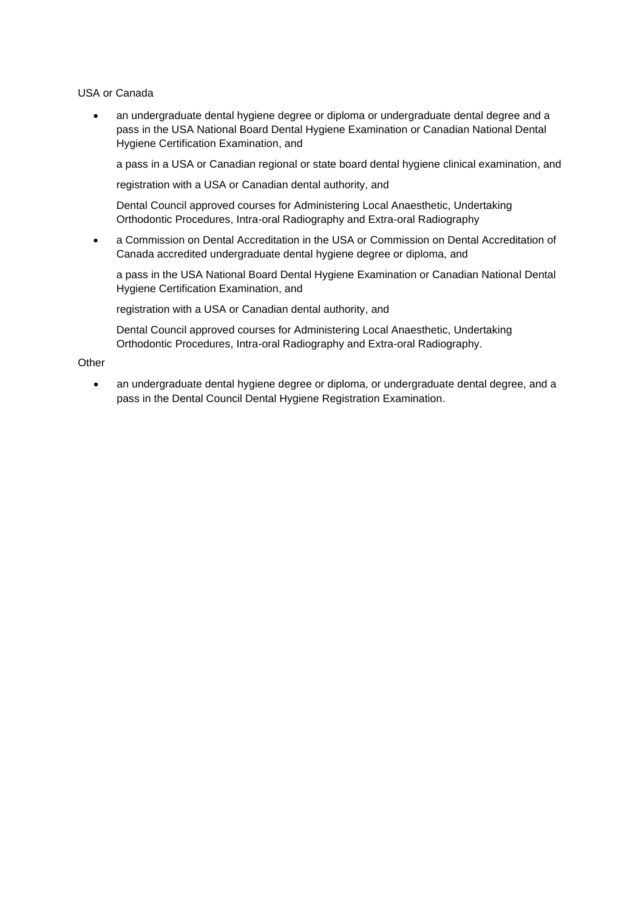USA or Canada

• an undergraduate dental hygiene degree or diploma or undergraduate dental degree and a pass in the USA National Board Dental Hygiene Examination or Canadian National Dental Hygiene Certification Examination, and

a pass in a USA or Canadian regional or state board dental hygiene clinical examination, and

registration with a USA or Canadian dental authority, and

Dental Council approved courses for Administering Local Anaesthetic, Undertaking Orthodontic Procedures, Intra-oral Radiography and Extra-oral Radiography

• a Commission on Dental Accreditation in the USA or Commission on Dental Accreditation of Canada accredited undergraduate dental hygiene degree or diploma, and

a pass in the USA National Board Dental Hygiene Examination or Canadian National Dental Hygiene Certification Examination, and

registration with a USA or Canadian dental authority, and

Dental Council approved courses for Administering Local Anaesthetic, Undertaking Orthodontic Procedures, Intra-oral Radiography and Extra-oral Radiography.

**Other** 

• an undergraduate dental hygiene degree or diploma, or undergraduate dental degree, and a pass in the Dental Council Dental Hygiene Registration Examination.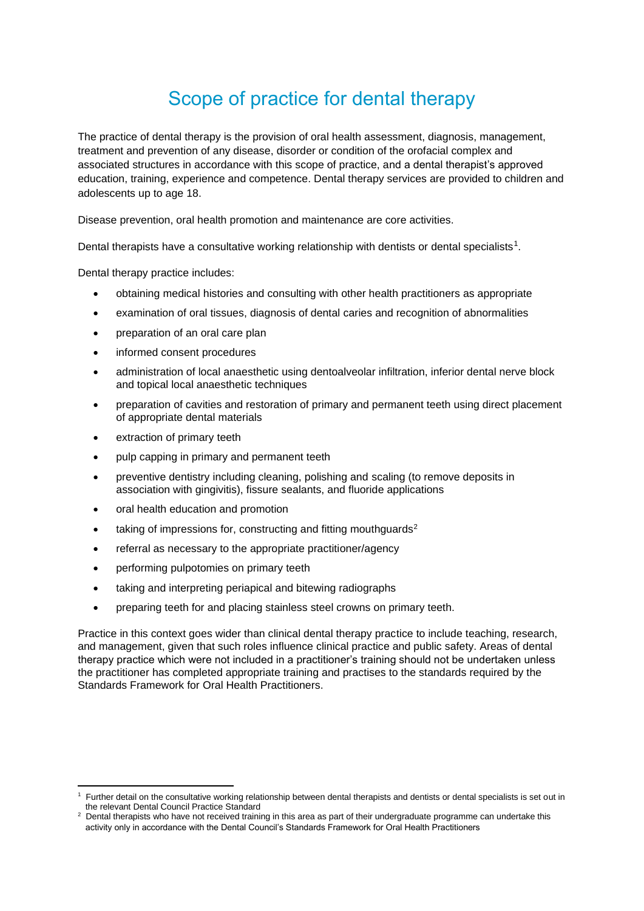# Scope of practice for dental therapy

The practice of dental therapy is the provision of oral health assessment, diagnosis, management, treatment and prevention of any disease, disorder or condition of the orofacial complex and associated structures in accordance with this scope of practice, and a dental therapist's approved education, training, experience and competence. Dental therapy services are provided to children and adolescents up to age 18.

Disease prevention, oral health promotion and maintenance are core activities.

Dental therapists have a consultative working relationship with dentists or dental specialists<sup>1</sup>.

Dental therapy practice includes:

- obtaining medical histories and consulting with other health practitioners as appropriate
- examination of oral tissues, diagnosis of dental caries and recognition of abnormalities
- preparation of an oral care plan
- informed consent procedures
- administration of local anaesthetic using dentoalveolar infiltration, inferior dental nerve block and topical local anaesthetic techniques
- preparation of cavities and restoration of primary and permanent teeth using direct placement of appropriate dental materials
- extraction of primary teeth
- pulp capping in primary and permanent teeth
- preventive dentistry including cleaning, polishing and scaling (to remove deposits in association with gingivitis), fissure sealants, and fluoride applications
- oral health education and promotion
- taking of impressions for, constructing and fitting mouthguards<sup>2</sup>
- referral as necessary to the appropriate practitioner/agency
- performing pulpotomies on primary teeth
- taking and interpreting periapical and bitewing radiographs
- preparing teeth for and placing stainless steel crowns on primary teeth.

Practice in this context goes wider than clinical dental therapy practice to include teaching, research, and management, given that such roles influence clinical practice and public safety. Areas of dental therapy practice which were not included in a practitioner's training should not be undertaken unless the practitioner has completed appropriate training and practises to the standards required by the Standards Framework for Oral Health Practitioners.

<sup>1</sup> Further detail on the consultative working relationship between dental therapists and dentists or dental specialists is set out in the relevant Dental Council Practice Standard

<sup>&</sup>lt;sup>2</sup> Dental therapists who have not received training in this area as part of their undergraduate programme can undertake this activity only in accordance with the Dental Council's Standards Framework for Oral Health Practitioners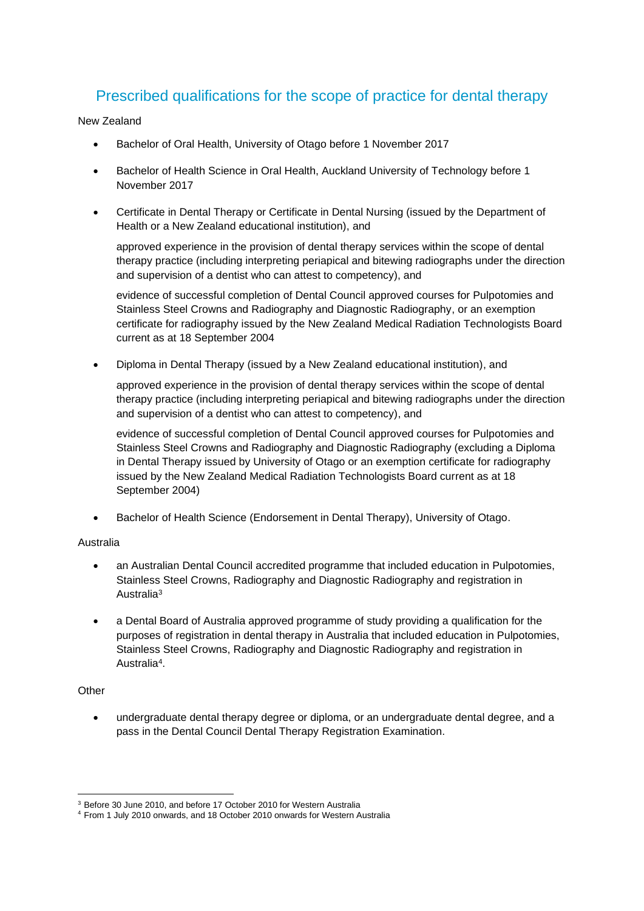## Prescribed qualifications for the scope of practice for dental therapy

New Zealand

- Bachelor of Oral Health, University of Otago before 1 November 2017
- Bachelor of Health Science in Oral Health, Auckland University of Technology before 1 November 2017
- Certificate in Dental Therapy or Certificate in Dental Nursing (issued by the Department of Health or a New Zealand educational institution), and

approved experience in the provision of dental therapy services within the scope of dental therapy practice (including interpreting periapical and bitewing radiographs under the direction and supervision of a dentist who can attest to competency), and

evidence of successful completion of Dental Council approved courses for Pulpotomies and Stainless Steel Crowns and Radiography and Diagnostic Radiography, or an exemption certificate for radiography issued by the New Zealand Medical Radiation Technologists Board current as at 18 September 2004

• Diploma in Dental Therapy (issued by a New Zealand educational institution), and

approved experience in the provision of dental therapy services within the scope of dental therapy practice (including interpreting periapical and bitewing radiographs under the direction and supervision of a dentist who can attest to competency), and

evidence of successful completion of Dental Council approved courses for Pulpotomies and Stainless Steel Crowns and Radiography and Diagnostic Radiography (excluding a Diploma in Dental Therapy issued by University of Otago or an exemption certificate for radiography issued by the New Zealand Medical Radiation Technologists Board current as at 18 September 2004)

• Bachelor of Health Science (Endorsement in Dental Therapy), University of Otago.

### Australia

- an Australian Dental Council accredited programme that included education in Pulpotomies, Stainless Steel Crowns, Radiography and Diagnostic Radiography and registration in Australia<sup>3</sup>
- a Dental Board of Australia approved programme of study providing a qualification for the purposes of registration in dental therapy in Australia that included education in Pulpotomies, Stainless Steel Crowns, Radiography and Diagnostic Radiography and registration in Australia<sup>4</sup>.

### **Other**

• undergraduate dental therapy degree or diploma, or an undergraduate dental degree, and a pass in the Dental Council Dental Therapy Registration Examination.

<sup>3</sup> Before 30 June 2010, and before 17 October 2010 for Western Australia

<sup>4</sup> From 1 July 2010 onwards, and 18 October 2010 onwards for Western Australia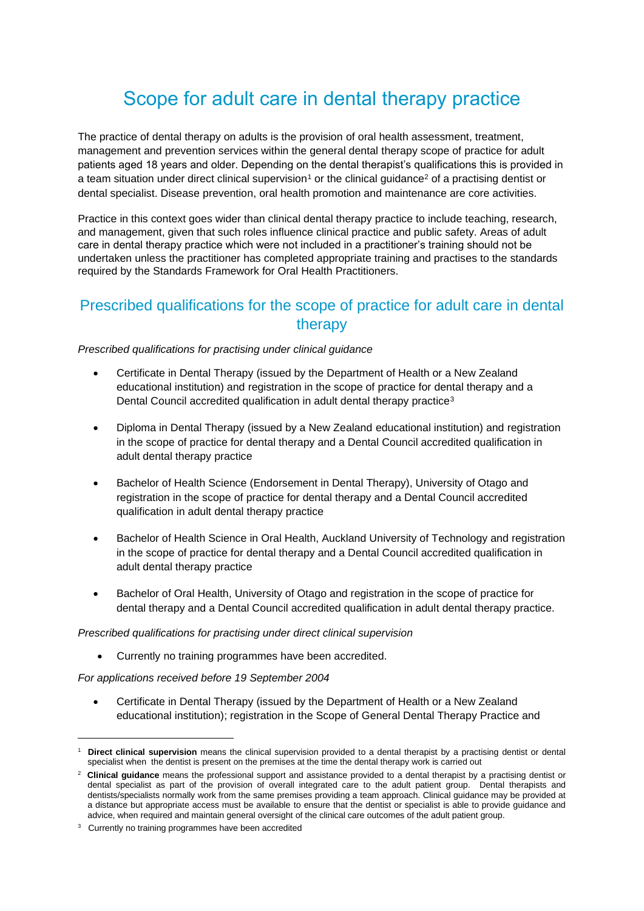# Scope for adult care in dental therapy practice

The practice of dental therapy on adults is the provision of oral health assessment, treatment, management and prevention services within the general dental therapy scope of practice for adult patients aged 18 years and older. Depending on the dental therapist's qualifications this is provided in a team situation under direct clinical supervision<sup>1</sup> or the clinical quidance<sup>2</sup> of a practising dentist or dental specialist. Disease prevention, oral health promotion and maintenance are core activities.

Practice in this context goes wider than clinical dental therapy practice to include teaching, research, and management, given that such roles influence clinical practice and public safety. Areas of adult care in dental therapy practice which were not included in a practitioner's training should not be undertaken unless the practitioner has completed appropriate training and practises to the standards required by the Standards Framework for Oral Health Practitioners.

### Prescribed qualifications for the scope of practice for adult care in dental therapy

#### *Prescribed qualifications for practising under clinical guidance*

- Certificate in Dental Therapy (issued by the Department of Health or a New Zealand educational institution) and registration in the scope of practice for dental therapy and a Dental Council accredited qualification in adult dental therapy practice<sup>3</sup>
- Diploma in Dental Therapy (issued by a New Zealand educational institution) and registration in the scope of practice for dental therapy and a Dental Council accredited qualification in adult dental therapy practice
- Bachelor of Health Science (Endorsement in Dental Therapy), University of Otago and registration in the scope of practice for dental therapy and a Dental Council accredited qualification in adult dental therapy practice
- Bachelor of Health Science in Oral Health, Auckland University of Technology and registration in the scope of practice for dental therapy and a Dental Council accredited qualification in adult dental therapy practice
- Bachelor of Oral Health, University of Otago and registration in the scope of practice for dental therapy and a Dental Council accredited qualification in adult dental therapy practice.

#### *Prescribed qualifications for practising under direct clinical supervision*

• Currently no training programmes have been accredited.

*For applications received before 19 September 2004* 

• Certificate in Dental Therapy (issued by the Department of Health or a New Zealand educational institution); registration in the Scope of General Dental Therapy Practice and

<sup>1</sup> **Direct clinical supervision** means the clinical supervision provided to a dental therapist by a practising dentist or dental specialist when the dentist is present on the premises at the time the dental therapy work is carried out

<sup>2</sup> **Clinical guidance** means the professional support and assistance provided to a dental therapist by a practising dentist or dental specialist as part of the provision of overall integrated care to the adult patient group. Dental therapists and dentists/specialists normally work from the same premises providing a team approach. Clinical guidance may be provided at a distance but appropriate access must be available to ensure that the dentist or specialist is able to provide guidance and advice, when required and maintain general oversight of the clinical care outcomes of the adult patient group.

<sup>&</sup>lt;sup>3</sup> Currently no training programmes have been accredited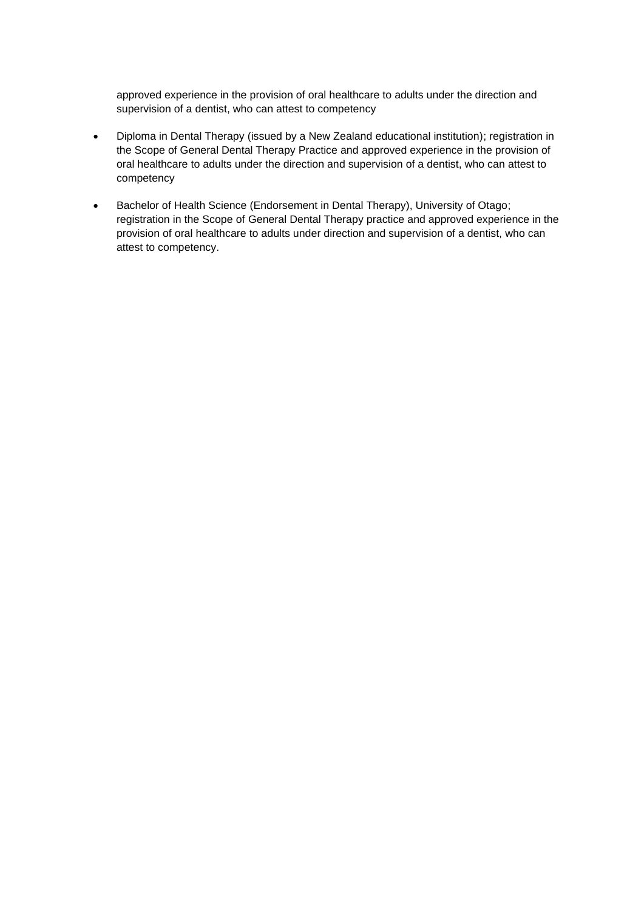approved experience in the provision of oral healthcare to adults under the direction and supervision of a dentist, who can attest to competency

- Diploma in Dental Therapy (issued by a New Zealand educational institution); registration in the Scope of General Dental Therapy Practice and approved experience in the provision of oral healthcare to adults under the direction and supervision of a dentist, who can attest to competency
- Bachelor of Health Science (Endorsement in Dental Therapy), University of Otago; registration in the Scope of General Dental Therapy practice and approved experience in the provision of oral healthcare to adults under direction and supervision of a dentist, who can attest to competency.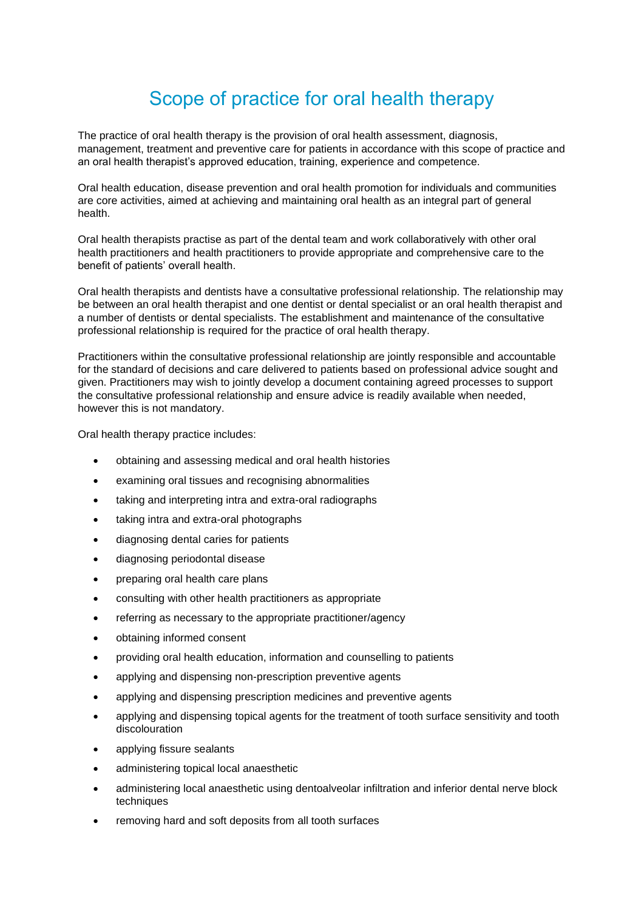# Scope of practice for oral health therapy

The practice of oral health therapy is the provision of oral health assessment, diagnosis, management, treatment and preventive care for patients in accordance with this scope of practice and an oral health therapist's approved education, training, experience and competence.

Oral health education, disease prevention and oral health promotion for individuals and communities are core activities, aimed at achieving and maintaining oral health as an integral part of general health.

Oral health therapists practise as part of the dental team and work collaboratively with other oral health practitioners and health practitioners to provide appropriate and comprehensive care to the benefit of patients' overall health.

Oral health therapists and dentists have a consultative professional relationship. The relationship may be between an oral health therapist and one dentist or dental specialist or an oral health therapist and a number of dentists or dental specialists. The establishment and maintenance of the consultative professional relationship is required for the practice of oral health therapy.

Practitioners within the consultative professional relationship are jointly responsible and accountable for the standard of decisions and care delivered to patients based on professional advice sought and given. Practitioners may wish to jointly develop a document containing agreed processes to support the consultative professional relationship and ensure advice is readily available when needed, however this is not mandatory.

Oral health therapy practice includes:

- obtaining and assessing medical and oral health histories
- examining oral tissues and recognising abnormalities
- taking and interpreting intra and extra-oral radiographs
- taking intra and extra-oral photographs
- diagnosing dental caries for patients
- diagnosing periodontal disease
- preparing oral health care plans
- consulting with other health practitioners as appropriate
- referring as necessary to the appropriate practitioner/agency
- obtaining informed consent
- providing oral health education, information and counselling to patients
- applying and dispensing non-prescription preventive agents
- applying and dispensing prescription medicines and preventive agents
- applying and dispensing topical agents for the treatment of tooth surface sensitivity and tooth discolouration
- applying fissure sealants
- administering topical local anaesthetic
- administering local anaesthetic using dentoalveolar infiltration and inferior dental nerve block techniques
- removing hard and soft deposits from all tooth surfaces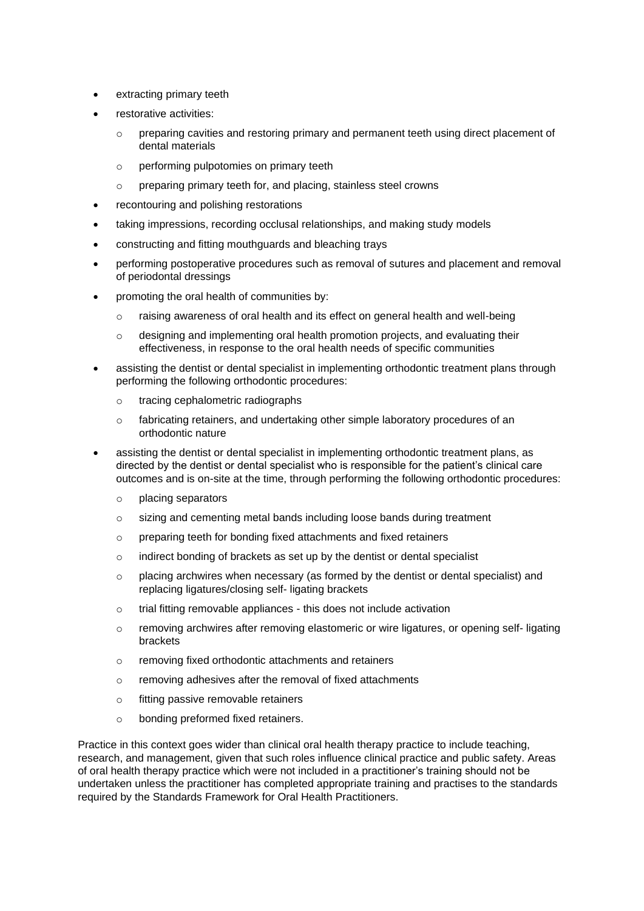- extracting primary teeth
- restorative activities:
	- $\circ$  preparing cavities and restoring primary and permanent teeth using direct placement of dental materials
	- o performing pulpotomies on primary teeth
	- o preparing primary teeth for, and placing, stainless steel crowns
- recontouring and polishing restorations
- taking impressions, recording occlusal relationships, and making study models
- constructing and fitting mouthguards and bleaching trays
- performing postoperative procedures such as removal of sutures and placement and removal of periodontal dressings
- promoting the oral health of communities by:
	- $\circ$  raising awareness of oral health and its effect on general health and well-being
	- o designing and implementing oral health promotion projects, and evaluating their effectiveness, in response to the oral health needs of specific communities
- assisting the dentist or dental specialist in implementing orthodontic treatment plans through performing the following orthodontic procedures:
	- o tracing cephalometric radiographs
	- o fabricating retainers, and undertaking other simple laboratory procedures of an orthodontic nature
- assisting the dentist or dental specialist in implementing orthodontic treatment plans, as directed by the dentist or dental specialist who is responsible for the patient's clinical care outcomes and is on-site at the time, through performing the following orthodontic procedures:
	- o placing separators
	- o sizing and cementing metal bands including loose bands during treatment
	- o preparing teeth for bonding fixed attachments and fixed retainers
	- o indirect bonding of brackets as set up by the dentist or dental specialist
	- $\circ$  placing archwires when necessary (as formed by the dentist or dental specialist) and replacing ligatures/closing self- ligating brackets
	- o trial fitting removable appliances this does not include activation
	- $\circ$  removing archwires after removing elastomeric or wire ligatures, or opening self- ligating brackets
	- o removing fixed orthodontic attachments and retainers
	- o removing adhesives after the removal of fixed attachments
	- o fitting passive removable retainers
	- o bonding preformed fixed retainers.

Practice in this context goes wider than clinical oral health therapy practice to include teaching, research, and management, given that such roles influence clinical practice and public safety. Areas of oral health therapy practice which were not included in a practitioner's training should not be undertaken unless the practitioner has completed appropriate training and practises to the standards required by the Standards Framework for Oral Health Practitioners.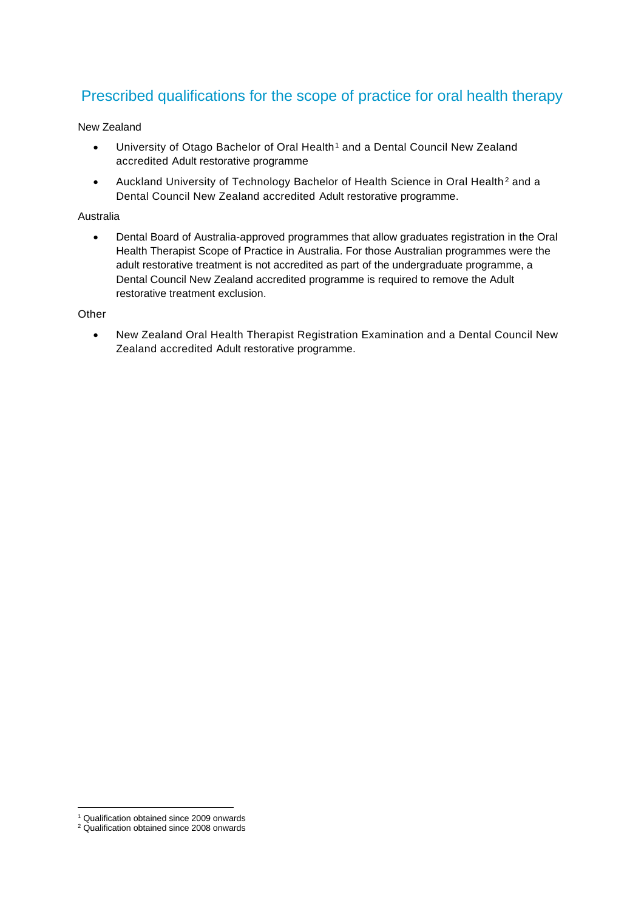## Prescribed qualifications for the scope of practice for oral health therapy

New Zealand

- University of Otago Bachelor of Oral Health<sup>1</sup> and a Dental Council New Zealand accredited Adult restorative programme
- Auckland University of Technology Bachelor of Health Science in Oral Health<sup>2</sup> and a Dental Council New Zealand accredited Adult restorative programme.

#### Australia

• Dental Board of Australia-approved programmes that allow graduates registration in the Oral Health Therapist Scope of Practice in Australia. For those Australian programmes were the adult restorative treatment is not accredited as part of the undergraduate programme, a Dental Council New Zealand accredited programme is required to remove the Adult restorative treatment exclusion.

#### **Other**

• New Zealand Oral Health Therapist Registration Examination and a Dental Council New Zealand accredited Adult restorative programme.

<sup>1</sup> Qualification obtained since 2009 onwards

<sup>&</sup>lt;sup>2</sup> Qualification obtained since 2008 onwards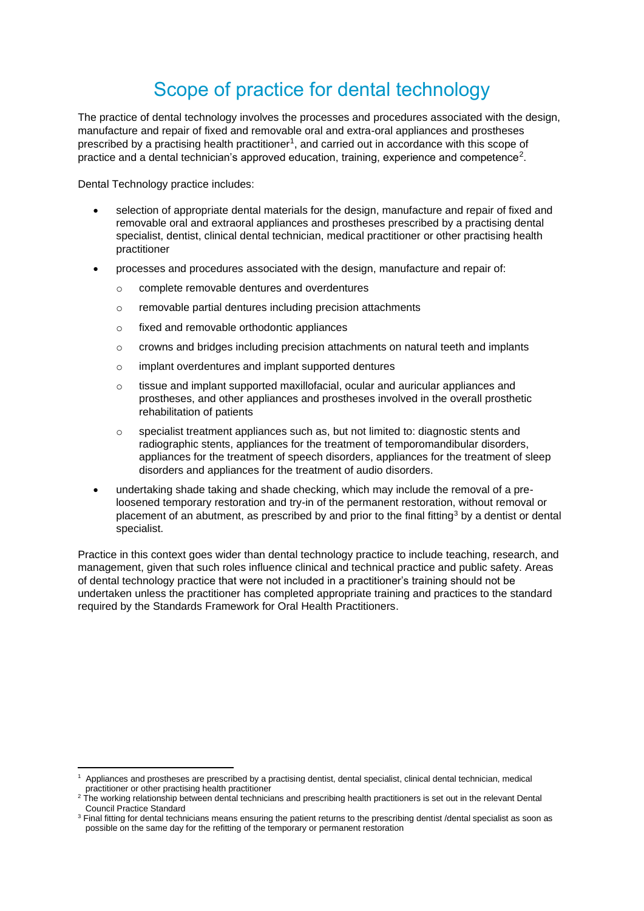# Scope of practice for dental technology

The practice of dental technology involves the processes and procedures associated with the design, manufacture and repair of fixed and removable oral and extra-oral appliances and prostheses prescribed by a practising health practitioner<sup>1</sup>, and carried out in accordance with this scope of practice and a dental technician's approved education, training, experience and competence<sup>2</sup>.

Dental Technology practice includes:

- selection of appropriate dental materials for the design, manufacture and repair of fixed and removable oral and extraoral appliances and prostheses prescribed by a practising dental specialist, dentist, clinical dental technician, medical practitioner or other practising health practitioner
- processes and procedures associated with the design, manufacture and repair of:
	- o complete removable dentures and overdentures
	- o removable partial dentures including precision attachments
	- o fixed and removable orthodontic appliances
	- o crowns and bridges including precision attachments on natural teeth and implants
	- o implant overdentures and implant supported dentures
	- $\circ$  tissue and implant supported maxillofacial, ocular and auricular appliances and prostheses, and other appliances and prostheses involved in the overall prosthetic rehabilitation of patients
	- $\circ$  specialist treatment appliances such as, but not limited to: diagnostic stents and radiographic stents, appliances for the treatment of temporomandibular disorders, appliances for the treatment of speech disorders, appliances for the treatment of sleep disorders and appliances for the treatment of audio disorders.
- undertaking shade taking and shade checking, which may include the removal of a preloosened temporary restoration and try-in of the permanent restoration, without removal or placement of an abutment, as prescribed by and prior to the final fitting<sup>3</sup> by a dentist or dental specialist.

Practice in this context goes wider than dental technology practice to include teaching, research, and management, given that such roles influence clinical and technical practice and public safety. Areas of dental technology practice that were not included in a practitioner's training should not be undertaken unless the practitioner has completed appropriate training and practices to the standard required by the Standards Framework for Oral Health Practitioners.

<sup>1</sup> Appliances and prostheses are prescribed by a practising dentist, dental specialist, clinical dental technician, medical practitioner or other practising health practitioner

<sup>&</sup>lt;sup>2</sup> The working relationship between dental technicians and prescribing health practitioners is set out in the relevant Dental Council Practice Standard

<sup>&</sup>lt;sup>3</sup> Final fitting for dental technicians means ensuring the patient returns to the prescribing dentist /dental specialist as soon as possible on the same day for the refitting of the temporary or permanent restoration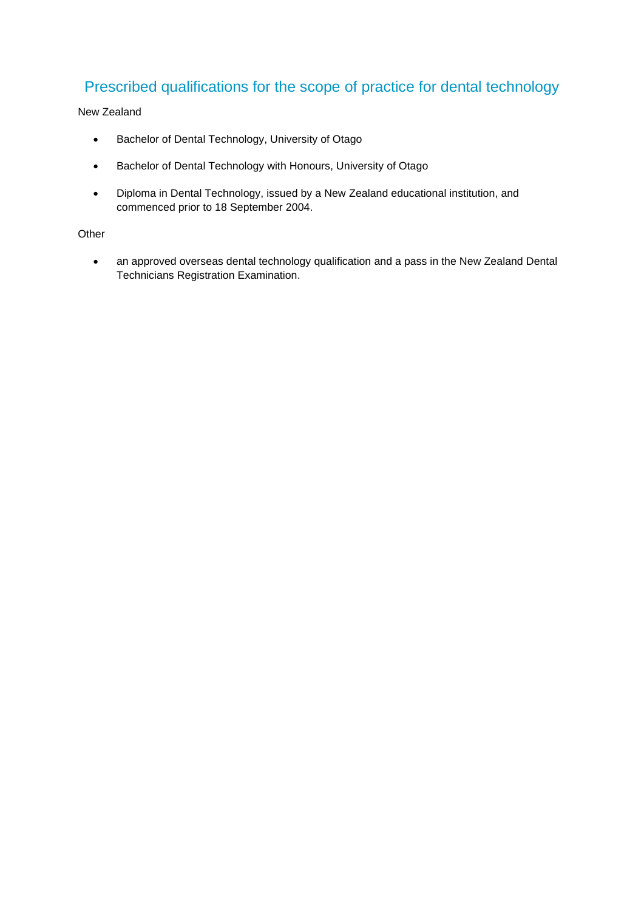## Prescribed qualifications for the scope of practice for dental technology

### New Zealand

- Bachelor of Dental Technology, University of Otago
- Bachelor of Dental Technology with Honours, University of Otago
- Diploma in Dental Technology, issued by a New Zealand educational institution, and commenced prior to 18 September 2004.

### **Other**

• an approved overseas dental technology qualification and a pass in the New Zealand Dental Technicians Registration Examination.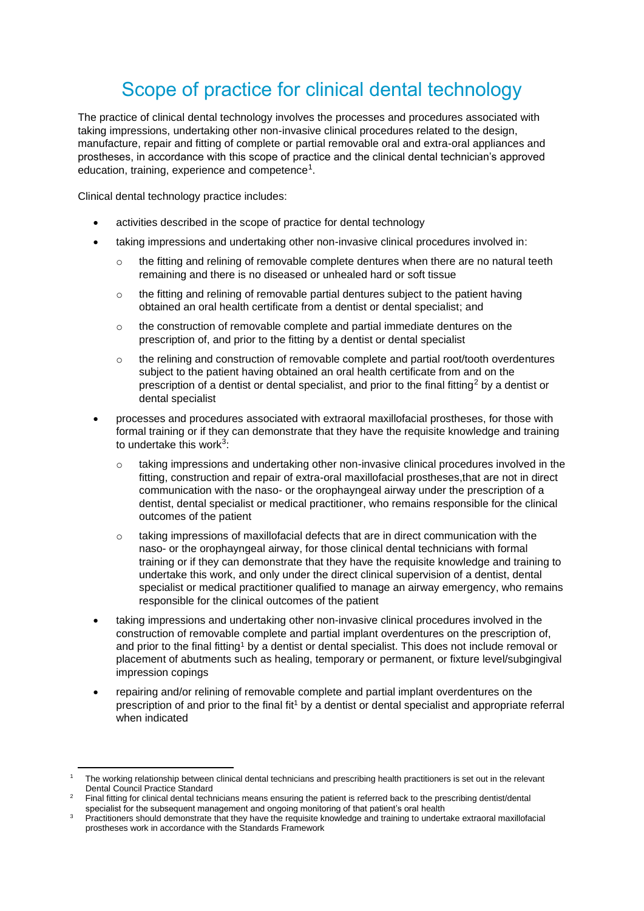# Scope of practice for clinical dental technology

The practice of clinical dental technology involves the processes and procedures associated with taking impressions, undertaking other non-invasive clinical procedures related to the design, manufacture, repair and fitting of complete or partial removable oral and extra-oral appliances and prostheses, in accordance with this scope of practice and the clinical dental technician's approved education, training, experience and competence<sup>1</sup>.

Clinical dental technology practice includes:

- activities described in the scope of practice for dental technology
- taking impressions and undertaking other non-invasive clinical procedures involved in:
	- $\circ$  the fitting and relining of removable complete dentures when there are no natural teeth remaining and there is no diseased or unhealed hard or soft tissue
	- $\circ$  the fitting and relining of removable partial dentures subject to the patient having obtained an oral health certificate from a dentist or dental specialist; and
	- $\circ$  the construction of removable complete and partial immediate dentures on the prescription of, and prior to the fitting by a dentist or dental specialist
	- $\circ$  the relining and construction of removable complete and partial root/tooth overdentures subject to the patient having obtained an oral health certificate from and on the prescription of a dentist or dental specialist, and prior to the final fitting<sup>2</sup> by a dentist or dental specialist
- processes and procedures associated with extraoral maxillofacial prostheses, for those with formal training or if they can demonstrate that they have the requisite knowledge and training to undertake this work $^3$ :
	- $\circ$  taking impressions and undertaking other non-invasive clinical procedures involved in the fitting, construction and repair of extra-oral maxillofacial prostheses,that are not in direct communication with the naso- or the orophayngeal airway under the prescription of a dentist, dental specialist or medical practitioner, who remains responsible for the clinical outcomes of the patient
	- o taking impressions of maxillofacial defects that are in direct communication with the naso- or the orophayngeal airway, for those clinical dental technicians with formal training or if they can demonstrate that they have the requisite knowledge and training to undertake this work, and only under the direct clinical supervision of a dentist, dental specialist or medical practitioner qualified to manage an airway emergency, who remains responsible for the clinical outcomes of the patient
- taking impressions and undertaking other non-invasive clinical procedures involved in the construction of removable complete and partial implant overdentures on the prescription of, and prior to the final fitting<sup>1</sup> by a dentist or dental specialist. This does not include removal or placement of abutments such as healing, temporary or permanent, or fixture level/subgingival impression copings
- repairing and/or relining of removable complete and partial implant overdentures on the prescription of and prior to the final fit<sup>1</sup> by a dentist or dental specialist and appropriate referral when indicated

<sup>1</sup> The working relationship between clinical dental technicians and prescribing health practitioners is set out in the relevant Dental Council Practice Standard

<sup>2</sup> Final fitting for clinical dental technicians means ensuring the patient is referred back to the prescribing dentist/dental specialist for the subsequent management and ongoing monitoring of that patient's oral health

<sup>3</sup> Practitioners should demonstrate that they have the requisite knowledge and training to undertake extraoral maxillofacial prostheses work in accordance with the Standards Framework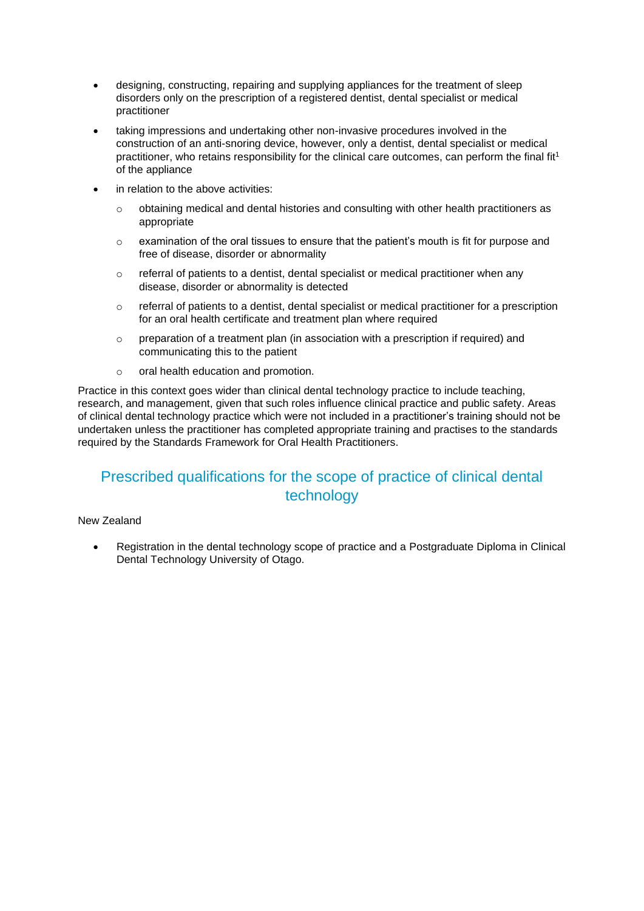- designing, constructing, repairing and supplying appliances for the treatment of sleep disorders only on the prescription of a registered dentist, dental specialist or medical practitioner
- taking impressions and undertaking other non-invasive procedures involved in the construction of an anti-snoring device, however, only a dentist, dental specialist or medical practitioner, who retains responsibility for the clinical care outcomes, can perform the final fit<sup>1</sup> of the appliance
- in relation to the above activities:
	- $\circ$  obtaining medical and dental histories and consulting with other health practitioners as appropriate
	- $\circ$  examination of the oral tissues to ensure that the patient's mouth is fit for purpose and free of disease, disorder or abnormality
	- $\circ$  referral of patients to a dentist, dental specialist or medical practitioner when any disease, disorder or abnormality is detected
	- $\circ$  referral of patients to a dentist, dental specialist or medical practitioner for a prescription for an oral health certificate and treatment plan where required
	- $\circ$  preparation of a treatment plan (in association with a prescription if required) and communicating this to the patient
	- o oral health education and promotion.

Practice in this context goes wider than clinical dental technology practice to include teaching, research, and management, given that such roles influence clinical practice and public safety. Areas of clinical dental technology practice which were not included in a practitioner's training should not be undertaken unless the practitioner has completed appropriate training and practises to the standards required by the Standards Framework for Oral Health Practitioners.

## Prescribed qualifications for the scope of practice of clinical dental technology

### New Zealand

• Registration in the dental technology scope of practice and a Postgraduate Diploma in Clinical Dental Technology University of Otago.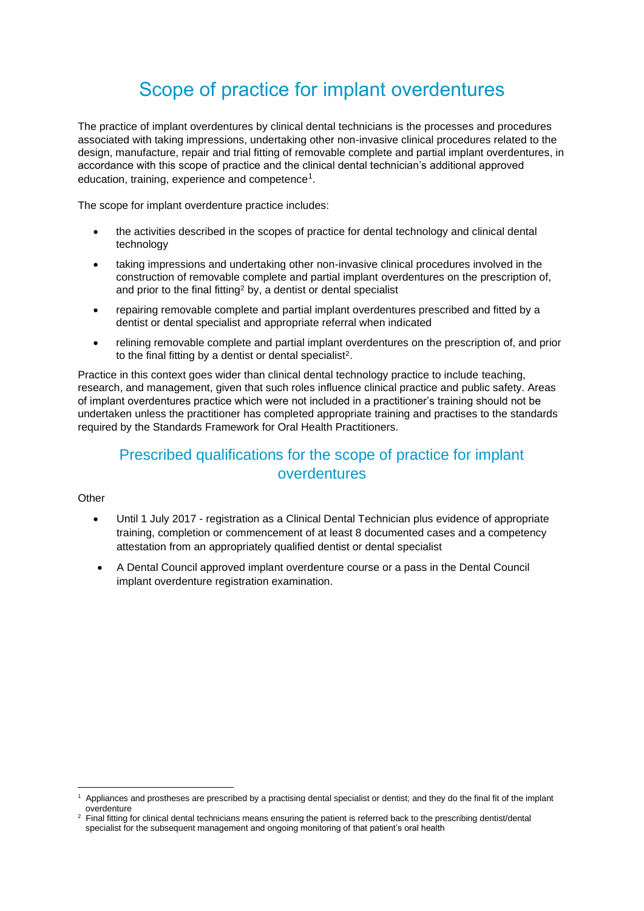# Scope of practice for implant overdentures

The practice of implant overdentures by clinical dental technicians is the processes and procedures associated with taking impressions, undertaking other non-invasive clinical procedures related to the design, manufacture, repair and trial fitting of removable complete and partial implant overdentures, in accordance with this scope of practice and the clinical dental technician's additional approved education, training, experience and competence<sup>1</sup>.

The scope for implant overdenture practice includes:

- the activities described in the scopes of practice for dental technology and clinical dental technology
- taking impressions and undertaking other non-invasive clinical procedures involved in the construction of removable complete and partial implant overdentures on the prescription of, and prior to the final fitting<sup>2</sup> by, a dentist or dental specialist
- repairing removable complete and partial implant overdentures prescribed and fitted by a dentist or dental specialist and appropriate referral when indicated
- relining removable complete and partial implant overdentures on the prescription of, and prior to the final fitting by a dentist or dental specialist<sup>2</sup>.

Practice in this context goes wider than clinical dental technology practice to include teaching, research, and management, given that such roles influence clinical practice and public safety. Areas of implant overdentures practice which were not included in a practitioner's training should not be undertaken unless the practitioner has completed appropriate training and practises to the standards required by the Standards Framework for Oral Health Practitioners.

## Prescribed qualifications for the scope of practice for implant overdentures

### **Other**

- Until 1 July 2017 registration as a Clinical Dental Technician plus evidence of appropriate training, completion or commencement of at least 8 documented cases and a competency attestation from an appropriately qualified dentist or dental specialist
- A Dental Council approved implant overdenture course or a pass in the Dental Council implant overdenture registration examination.

<sup>1</sup> Appliances and prostheses are prescribed by a practising dental specialist or dentist; and they do the final fit of the implant overdenture

Final fitting for clinical dental technicians means ensuring the patient is referred back to the prescribing dentist/dental specialist for the subsequent management and ongoing monitoring of that patient's oral health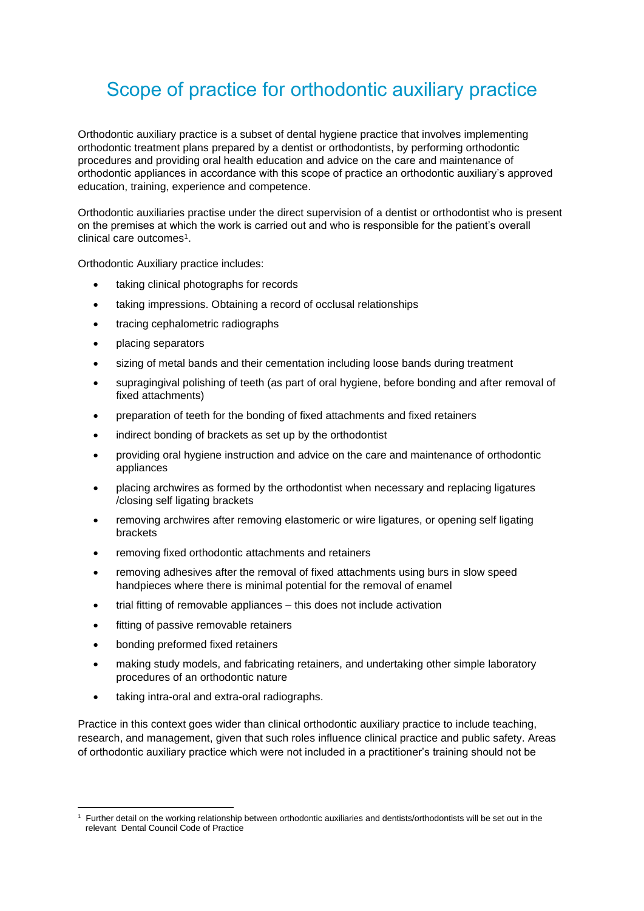# Scope of practice for orthodontic auxiliary practice

Orthodontic auxiliary practice is a subset of dental hygiene practice that involves implementing orthodontic treatment plans prepared by a dentist or orthodontists, by performing orthodontic procedures and providing oral health education and advice on the care and maintenance of orthodontic appliances in accordance with this scope of practice an orthodontic auxiliary's approved education, training, experience and competence.

Orthodontic auxiliaries practise under the direct supervision of a dentist or orthodontist who is present on the premises at which the work is carried out and who is responsible for the patient's overall clinical care outcomes<sup>1</sup>.

Orthodontic Auxiliary practice includes:

- taking clinical photographs for records
- taking impressions. Obtaining a record of occlusal relationships
- tracing cephalometric radiographs
- placing separators
- sizing of metal bands and their cementation including loose bands during treatment
- supragingival polishing of teeth (as part of oral hygiene, before bonding and after removal of fixed attachments)
- preparation of teeth for the bonding of fixed attachments and fixed retainers
- indirect bonding of brackets as set up by the orthodontist
- providing oral hygiene instruction and advice on the care and maintenance of orthodontic appliances
- placing archwires as formed by the orthodontist when necessary and replacing ligatures /closing self ligating brackets
- removing archwires after removing elastomeric or wire ligatures, or opening self ligating brackets
- removing fixed orthodontic attachments and retainers
- removing adhesives after the removal of fixed attachments using burs in slow speed handpieces where there is minimal potential for the removal of enamel
- trial fitting of removable appliances this does not include activation
- fitting of passive removable retainers
- bonding preformed fixed retainers
- making study models, and fabricating retainers, and undertaking other simple laboratory procedures of an orthodontic nature
- taking intra-oral and extra-oral radiographs.

Practice in this context goes wider than clinical orthodontic auxiliary practice to include teaching, research, and management, given that such roles influence clinical practice and public safety. Areas of orthodontic auxiliary practice which were not included in a practitioner's training should not be

<sup>1</sup> Further detail on the working relationship between orthodontic auxiliaries and dentists/orthodontists will be set out in the relevant Dental Council Code of Practice